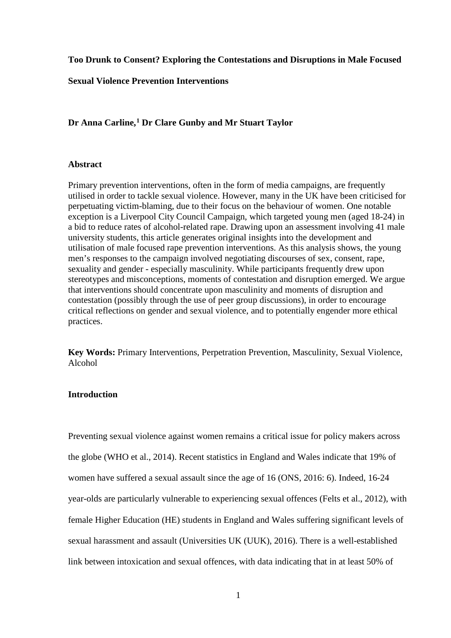#### **Too Drunk to Consent? Exploring the Contestations and Disruptions in Male Focused**

**Sexual Violence Prevention Interventions**

## **Dr Anna Carline,[1](#page-44-0) Dr Clare Gunby and Mr Stuart Taylor**

#### **Abstract**

Primary prevention interventions, often in the form of media campaigns, are frequently utilised in order to tackle sexual violence. However, many in the UK have been criticised for perpetuating victim-blaming, due to their focus on the behaviour of women. One notable exception is a Liverpool City Council Campaign, which targeted young men (aged 18-24) in a bid to reduce rates of alcohol-related rape. Drawing upon an assessment involving 41 male university students, this article generates original insights into the development and utilisation of male focused rape prevention interventions. As this analysis shows, the young men's responses to the campaign involved negotiating discourses of sex, consent, rape, sexuality and gender - especially masculinity. While participants frequently drew upon stereotypes and misconceptions, moments of contestation and disruption emerged. We argue that interventions should concentrate upon masculinity and moments of disruption and contestation (possibly through the use of peer group discussions), in order to encourage critical reflections on gender and sexual violence, and to potentially engender more ethical practices.

**Key Words:** Primary Interventions, Perpetration Prevention, Masculinity, Sexual Violence, Alcohol

# **Introduction**

Preventing sexual violence against women remains a critical issue for policy makers across the globe (WHO et al., 2014). Recent statistics in England and Wales indicate that 19% of women have suffered a sexual assault since the age of 16 (ONS, 2016: 6). Indeed, 16-24 year-olds are particularly vulnerable to experiencing sexual offences (Felts et al., 2012), with female Higher Education (HE) students in England and Wales suffering significant levels of sexual harassment and assault (Universities UK (UUK), 2016). There is a well-established link between intoxication and sexual offences, with data indicating that in at least 50% of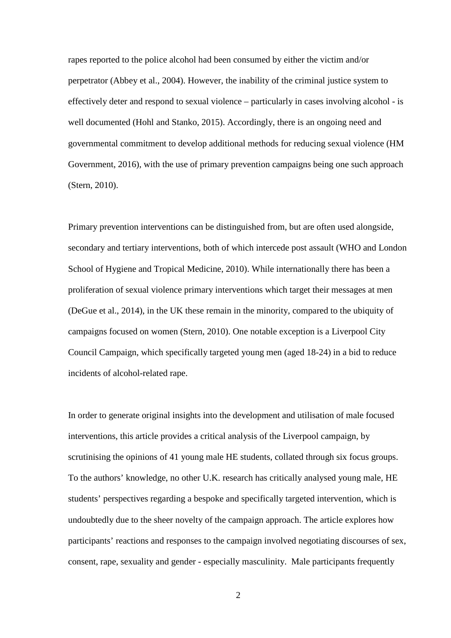rapes reported to the police alcohol had been consumed by either the victim and/or perpetrator (Abbey et al., 2004). However, the inability of the criminal justice system to effectively deter and respond to sexual violence – particularly in cases involving alcohol - is well documented (Hohl and Stanko, 2015). Accordingly, there is an ongoing need and governmental commitment to develop additional methods for reducing sexual violence (HM Government, 2016), with the use of primary prevention campaigns being one such approach (Stern, 2010).

Primary prevention interventions can be distinguished from, but are often used alongside, secondary and tertiary interventions, both of which intercede post assault (WHO and London School of Hygiene and Tropical Medicine, 2010). While internationally there has been a proliferation of sexual violence primary interventions which target their messages at men (DeGue et al., 2014), in the UK these remain in the minority, compared to the ubiquity of campaigns focused on women (Stern, 2010). One notable exception is a Liverpool City Council Campaign, which specifically targeted young men (aged 18-24) in a bid to reduce incidents of alcohol-related rape.

In order to generate original insights into the development and utilisation of male focused interventions, this article provides a critical analysis of the Liverpool campaign, by scrutinising the opinions of 41 young male HE students, collated through six focus groups. To the authors' knowledge, no other U.K. research has critically analysed young male, HE students' perspectives regarding a bespoke and specifically targeted intervention, which is undoubtedly due to the sheer novelty of the campaign approach. The article explores how participants' reactions and responses to the campaign involved negotiating discourses of sex, consent, rape, sexuality and gender - especially masculinity. Male participants frequently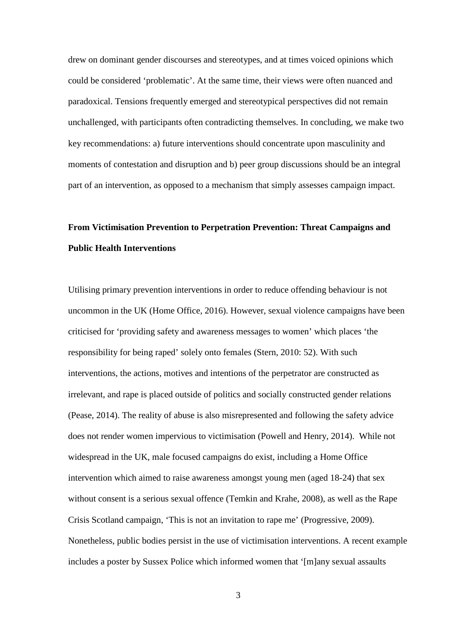drew on dominant gender discourses and stereotypes, and at times voiced opinions which could be considered 'problematic'. At the same time, their views were often nuanced and paradoxical. Tensions frequently emerged and stereotypical perspectives did not remain unchallenged, with participants often contradicting themselves. In concluding, we make two key recommendations: a) future interventions should concentrate upon masculinity and moments of contestation and disruption and b) peer group discussions should be an integral part of an intervention, as opposed to a mechanism that simply assesses campaign impact.

# **From Victimisation Prevention to Perpetration Prevention: Threat Campaigns and Public Health Interventions**

Utilising primary prevention interventions in order to reduce offending behaviour is not uncommon in the UK (Home Office, 2016). However, sexual violence campaigns have been criticised for 'providing safety and awareness messages to women' which places 'the responsibility for being raped' solely onto females (Stern, 2010: 52). With such interventions, the actions, motives and intentions of the perpetrator are constructed as irrelevant, and rape is placed outside of politics and socially constructed gender relations (Pease, 2014). The reality of abuse is also misrepresented and following the safety advice does not render women impervious to victimisation (Powell and Henry, 2014). While not widespread in the UK, male focused campaigns do exist, including a Home Office intervention which aimed to raise awareness amongst young men (aged 18-24) that sex without consent is a serious sexual offence (Temkin and Krahe, 2008), as well as the Rape Crisis Scotland campaign, 'This is not an invitation to rape me' (Progressive, 2009). Nonetheless, public bodies persist in the use of victimisation interventions. A recent example includes a poster by Sussex Police which informed women that '[m]any sexual assaults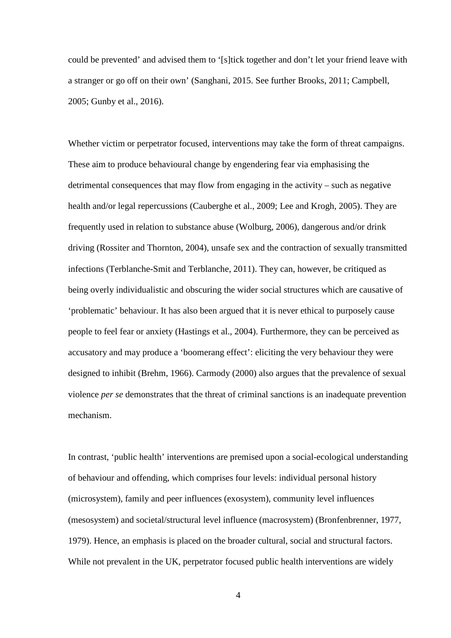could be prevented' and advised them to '[s]tick together and don't let your friend leave with a stranger or go off on their own' (Sanghani, 2015. See further Brooks, 2011; Campbell, 2005; Gunby et al., 2016).

Whether victim or perpetrator focused, interventions may take the form of threat campaigns. These aim to produce behavioural change by engendering fear via emphasising the detrimental consequences that may flow from engaging in the activity – such as negative health and/or legal repercussions (Cauberghe et al., 2009; Lee and Krogh, 2005). They are frequently used in relation to substance abuse (Wolburg, 2006), dangerous and/or drink driving (Rossiter and Thornton, 2004), unsafe sex and the contraction of sexually transmitted infections (Terblanche-Smit and Terblanche, 2011). They can, however, be critiqued as being overly individualistic and obscuring the wider social structures which are causative of 'problematic' behaviour. It has also been argued that it is never ethical to purposely cause people to feel fear or anxiety (Hastings et al., 2004). Furthermore, they can be perceived as accusatory and may produce a 'boomerang effect': eliciting the very behaviour they were designed to inhibit (Brehm, 1966). Carmody (2000) also argues that the prevalence of sexual violence *per se* demonstrates that the threat of criminal sanctions is an inadequate prevention mechanism.

In contrast, 'public health' interventions are premised upon a social-ecological understanding of behaviour and offending, which comprises four levels: individual personal history (microsystem), family and peer influences (exosystem), community level influences (mesosystem) and societal/structural level influence (macrosystem) (Bronfenbrenner, 1977, 1979). Hence, an emphasis is placed on the broader cultural, social and structural factors. While not prevalent in the UK, perpetrator focused public health interventions are widely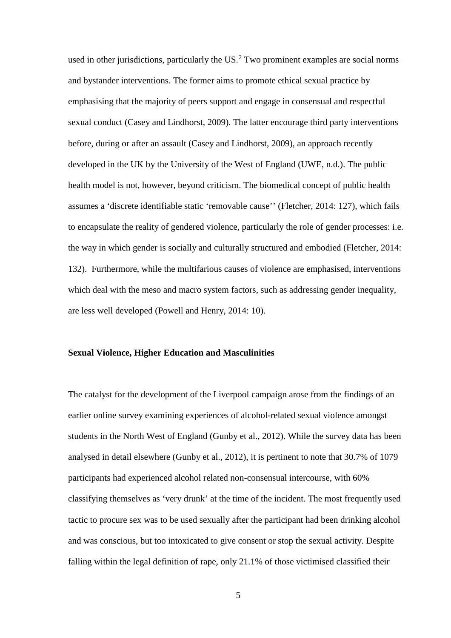used in other jurisdictions, particularly the  $US<sup>2</sup>$  $US<sup>2</sup>$  $US<sup>2</sup>$  Two prominent examples are social norms and bystander interventions. The former aims to promote ethical sexual practice by emphasising that the majority of peers support and engage in consensual and respectful sexual conduct (Casey and Lindhorst, 2009). The latter encourage third party interventions before, during or after an assault (Casey and Lindhorst, 2009), an approach recently developed in the UK by the University of the West of England (UWE, n.d.). The public health model is not, however, beyond criticism. The biomedical concept of public health assumes a 'discrete identifiable static 'removable cause'' (Fletcher, 2014: 127), which fails to encapsulate the reality of gendered violence, particularly the role of gender processes: i.e. the way in which gender is socially and culturally structured and embodied (Fletcher, 2014: 132). Furthermore, while the multifarious causes of violence are emphasised, interventions which deal with the meso and macro system factors, such as addressing gender inequality, are less well developed (Powell and Henry, 2014: 10).

## **Sexual Violence, Higher Education and Masculinities**

The catalyst for the development of the Liverpool campaign arose from the findings of an earlier online survey examining experiences of alcohol-related sexual violence amongst students in the North West of England (Gunby et al., 2012). While the survey data has been analysed in detail elsewhere (Gunby et al., 2012), it is pertinent to note that 30.7% of 1079 participants had experienced alcohol related non-consensual intercourse, with 60% classifying themselves as 'very drunk' at the time of the incident. The most frequently used tactic to procure sex was to be used sexually after the participant had been drinking alcohol and was conscious, but too intoxicated to give consent or stop the sexual activity. Despite falling within the legal definition of rape, only 21.1% of those victimised classified their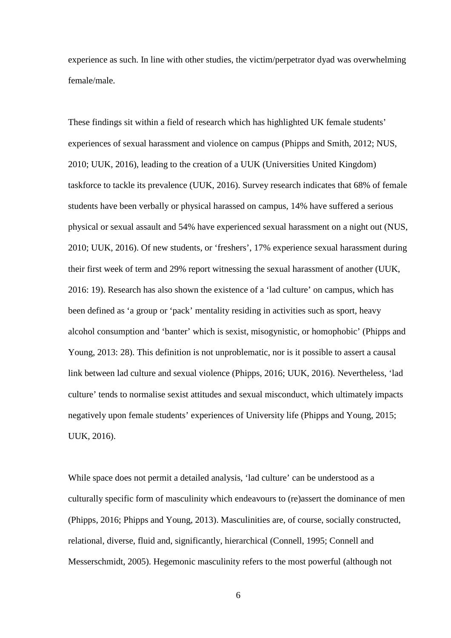experience as such. In line with other studies, the victim/perpetrator dyad was overwhelming female/male.

These findings sit within a field of research which has highlighted UK female students' experiences of sexual harassment and violence on campus (Phipps and Smith, 2012; NUS, 2010; UUK, 2016), leading to the creation of a UUK (Universities United Kingdom) taskforce to tackle its prevalence (UUK, 2016). Survey research indicates that 68% of female students have been verbally or physical harassed on campus, 14% have suffered a serious physical or sexual assault and 54% have experienced sexual harassment on a night out (NUS, 2010; UUK, 2016). Of new students, or 'freshers', 17% experience sexual harassment during their first week of term and 29% report witnessing the sexual harassment of another (UUK, 2016: 19). Research has also shown the existence of a 'lad culture' on campus, which has been defined as 'a group or 'pack' mentality residing in activities such as sport, heavy alcohol consumption and 'banter' which is sexist, misogynistic, or homophobic' (Phipps and Young, 2013: 28). This definition is not unproblematic, nor is it possible to assert a causal link between lad culture and sexual violence (Phipps, 2016; UUK, 2016). Nevertheless, 'lad culture' tends to normalise sexist attitudes and sexual misconduct, which ultimately impacts negatively upon female students' experiences of University life (Phipps and Young, 2015; UUK, 2016).

While space does not permit a detailed analysis, 'lad culture' can be understood as a culturally specific form of masculinity which endeavours to (re)assert the dominance of men (Phipps, 2016; Phipps and Young, 2013). Masculinities are, of course, socially constructed, relational, diverse, fluid and, significantly, hierarchical (Connell, 1995; Connell and Messerschmidt, 2005). Hegemonic masculinity refers to the most powerful (although not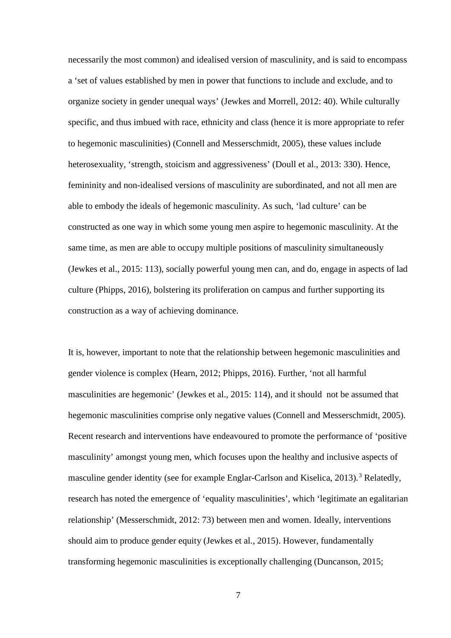necessarily the most common) and idealised version of masculinity, and is said to encompass a 'set of values established by men in power that functions to include and exclude, and to organize society in gender unequal ways' (Jewkes and Morrell, 2012: 40). While culturally specific, and thus imbued with race, ethnicity and class (hence it is more appropriate to refer to hegemonic masculinities) (Connell and Messerschmidt, 2005), these values include heterosexuality, 'strength, stoicism and aggressiveness' (Doull et al., 2013: 330). Hence, femininity and non-idealised versions of masculinity are subordinated, and not all men are able to embody the ideals of hegemonic masculinity. As such, 'lad culture' can be constructed as one way in which some young men aspire to hegemonic masculinity. At the same time, as men are able to occupy multiple positions of masculinity simultaneously (Jewkes et al., 2015: 113), socially powerful young men can, and do, engage in aspects of lad culture (Phipps, 2016), bolstering its proliferation on campus and further supporting its construction as a way of achieving dominance.

It is, however, important to note that the relationship between hegemonic masculinities and gender violence is complex (Hearn, 2012; Phipps, 2016). Further, 'not all harmful masculinities are hegemonic' (Jewkes et al., 2015: 114), and it should not be assumed that hegemonic masculinities comprise only negative values (Connell and Messerschmidt, 2005). Recent research and interventions have endeavoured to promote the performance of 'positive masculinity' amongst young men, which focuses upon the healthy and inclusive aspects of masculine gender identity (see for example Englar-Carlson and Kiselica, 201[3](#page-44-2)).<sup>3</sup> Relatedly, research has noted the emergence of 'equality masculinities', which 'legitimate an egalitarian relationship' (Messerschmidt, 2012: 73) between men and women. Ideally, interventions should aim to produce gender equity (Jewkes et al., 2015). However, fundamentally transforming hegemonic masculinities is exceptionally challenging (Duncanson, 2015;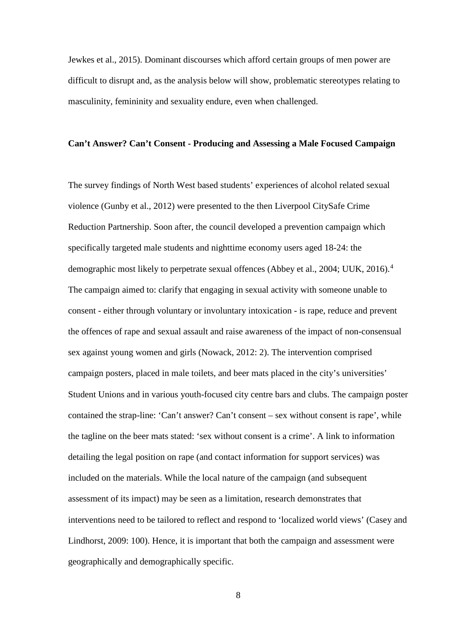Jewkes et al., 2015). Dominant discourses which afford certain groups of men power are difficult to disrupt and, as the analysis below will show, problematic stereotypes relating to masculinity, femininity and sexuality endure, even when challenged.

#### **Can't Answer? Can't Consent - Producing and Assessing a Male Focused Campaign**

The survey findings of North West based students' experiences of alcohol related sexual violence (Gunby et al., 2012) were presented to the then Liverpool CitySafe Crime Reduction Partnership. Soon after, the council developed a prevention campaign which specifically targeted male students and nighttime economy users aged 18-24: the demographic most likely to perpetrate sexual offences (Abbey et al., 2004; UUK, 2016). [4](#page-44-3) The campaign aimed to: clarify that engaging in sexual activity with someone unable to consent - either through voluntary or involuntary intoxication - is rape, reduce and prevent the offences of rape and sexual assault and raise awareness of the impact of non-consensual sex against young women and girls (Nowack, 2012: 2). The intervention comprised campaign posters, placed in male toilets, and beer mats placed in the city's universities' Student Unions and in various youth-focused city centre bars and clubs. The campaign poster contained the strap-line: 'Can't answer? Can't consent – sex without consent is rape', while the tagline on the beer mats stated: 'sex without consent is a crime'. A link to information detailing the legal position on rape (and contact information for support services) was included on the materials. While the local nature of the campaign (and subsequent assessment of its impact) may be seen as a limitation, research demonstrates that interventions need to be tailored to reflect and respond to 'localized world views' (Casey and Lindhorst, 2009: 100). Hence, it is important that both the campaign and assessment were geographically and demographically specific.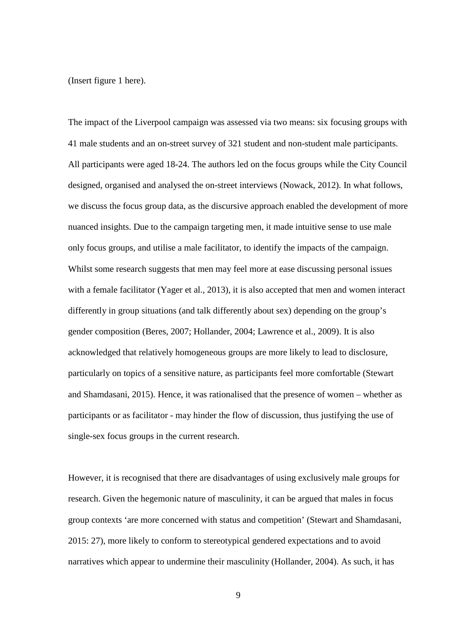(Insert figure 1 here).

The impact of the Liverpool campaign was assessed via two means: six focusing groups with 41 male students and an on-street survey of 321 student and non-student male participants. All participants were aged 18-24. The authors led on the focus groups while the City Council designed, organised and analysed the on-street interviews (Nowack, 2012). In what follows, we discuss the focus group data, as the discursive approach enabled the development of more nuanced insights. Due to the campaign targeting men, it made intuitive sense to use male only focus groups, and utilise a male facilitator, to identify the impacts of the campaign. Whilst some research suggests that men may feel more at ease discussing personal issues with a female facilitator (Yager et al., 2013), it is also accepted that men and women interact differently in group situations (and talk differently about sex) depending on the group's gender composition (Beres, 2007; Hollander, 2004; Lawrence et al., 2009). It is also acknowledged that relatively homogeneous groups are more likely to lead to disclosure, particularly on topics of a sensitive nature, as participants feel more comfortable (Stewart and Shamdasani, 2015). Hence, it was rationalised that the presence of women – whether as participants or as facilitator - may hinder the flow of discussion, thus justifying the use of single-sex focus groups in the current research.

However, it is recognised that there are disadvantages of using exclusively male groups for research. Given the hegemonic nature of masculinity, it can be argued that males in focus group contexts 'are more concerned with status and competition' (Stewart and Shamdasani, 2015: 27), more likely to conform to stereotypical gendered expectations and to avoid narratives which appear to undermine their masculinity (Hollander, 2004). As such, it has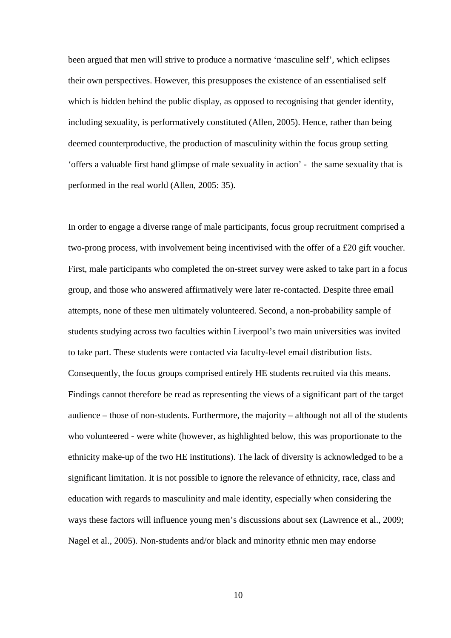been argued that men will strive to produce a normative 'masculine self', which eclipses their own perspectives. However, this presupposes the existence of an essentialised self which is hidden behind the public display, as opposed to recognising that gender identity, including sexuality, is performatively constituted (Allen, 2005). Hence, rather than being deemed counterproductive, the production of masculinity within the focus group setting 'offers a valuable first hand glimpse of male sexuality in action' - the same sexuality that is performed in the real world (Allen, 2005: 35).

In order to engage a diverse range of male participants, focus group recruitment comprised a two-prong process, with involvement being incentivised with the offer of a £20 gift voucher. First, male participants who completed the on-street survey were asked to take part in a focus group, and those who answered affirmatively were later re-contacted. Despite three email attempts, none of these men ultimately volunteered. Second, a non-probability sample of students studying across two faculties within Liverpool's two main universities was invited to take part. These students were contacted via faculty-level email distribution lists. Consequently, the focus groups comprised entirely HE students recruited via this means. Findings cannot therefore be read as representing the views of a significant part of the target audience – those of non-students. Furthermore, the majority – although not all of the students who volunteered - were white (however, as highlighted below, this was proportionate to the ethnicity make-up of the two HE institutions). The lack of diversity is acknowledged to be a significant limitation. It is not possible to ignore the relevance of ethnicity, race, class and education with regards to masculinity and male identity, especially when considering the ways these factors will influence young men's discussions about sex (Lawrence et al., 2009; Nagel et al., 2005). Non-students and/or black and minority ethnic men may endorse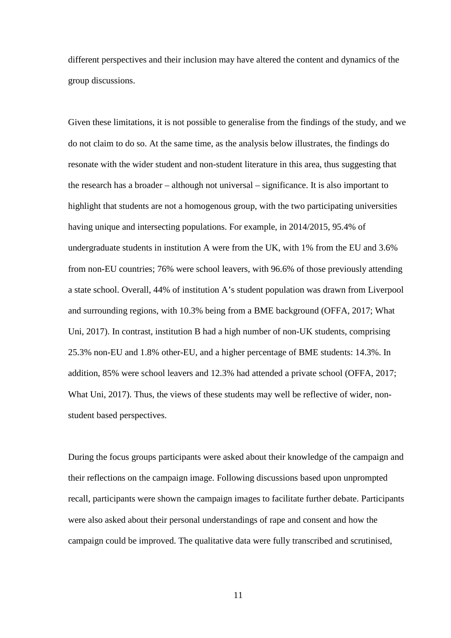different perspectives and their inclusion may have altered the content and dynamics of the group discussions.

Given these limitations, it is not possible to generalise from the findings of the study, and we do not claim to do so. At the same time, as the analysis below illustrates, the findings do resonate with the wider student and non-student literature in this area, thus suggesting that the research has a broader – although not universal – significance. It is also important to highlight that students are not a homogenous group, with the two participating universities having unique and intersecting populations. For example, in 2014/2015, 95.4% of undergraduate students in institution A were from the UK, with 1% from the EU and 3.6% from non-EU countries; 76% were school leavers, with 96.6% of those previously attending a state school. Overall, 44% of institution A's student population was drawn from Liverpool and surrounding regions, with 10.3% being from a BME background (OFFA, 2017; What Uni, 2017). In contrast, institution B had a high number of non-UK students, comprising 25.3% non-EU and 1.8% other-EU, and a higher percentage of BME students: 14.3%. In addition, 85% were school leavers and 12.3% had attended a private school (OFFA, 2017; What Uni, 2017). Thus, the views of these students may well be reflective of wider, nonstudent based perspectives.

During the focus groups participants were asked about their knowledge of the campaign and their reflections on the campaign image. Following discussions based upon unprompted recall, participants were shown the campaign images to facilitate further debate. Participants were also asked about their personal understandings of rape and consent and how the campaign could be improved. The qualitative data were fully transcribed and scrutinised,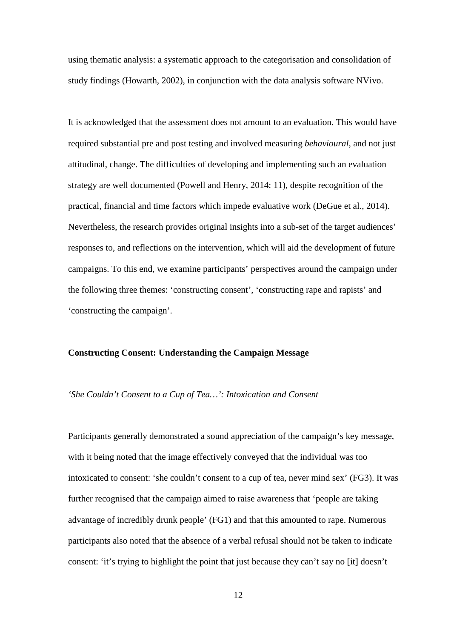using thematic analysis: a systematic approach to the categorisation and consolidation of study findings (Howarth, 2002), in conjunction with the data analysis software NVivo.

It is acknowledged that the assessment does not amount to an evaluation. This would have required substantial pre and post testing and involved measuring *behavioural*, and not just attitudinal, change. The difficulties of developing and implementing such an evaluation strategy are well documented (Powell and Henry, 2014: 11), despite recognition of the practical, financial and time factors which impede evaluative work (DeGue et al., 2014). Nevertheless, the research provides original insights into a sub-set of the target audiences' responses to, and reflections on the intervention, which will aid the development of future campaigns. To this end, we examine participants' perspectives around the campaign under the following three themes: 'constructing consent', 'constructing rape and rapists' and 'constructing the campaign'.

## **Constructing Consent: Understanding the Campaign Message**

## *'She Couldn't Consent to a Cup of Tea…': Intoxication and Consent*

Participants generally demonstrated a sound appreciation of the campaign's key message, with it being noted that the image effectively conveyed that the individual was too intoxicated to consent: 'she couldn't consent to a cup of tea, never mind sex' (FG3). It was further recognised that the campaign aimed to raise awareness that 'people are taking advantage of incredibly drunk people' (FG1) and that this amounted to rape. Numerous participants also noted that the absence of a verbal refusal should not be taken to indicate consent: 'it's trying to highlight the point that just because they can't say no [it] doesn't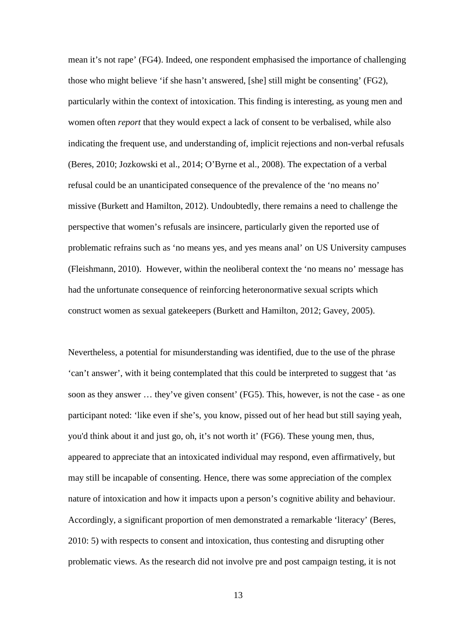mean it's not rape' (FG4). Indeed, one respondent emphasised the importance of challenging those who might believe 'if she hasn't answered, [she] still might be consenting' (FG2), particularly within the context of intoxication. This finding is interesting, as young men and women often *report* that they would expect a lack of consent to be verbalised, while also indicating the frequent use, and understanding of, implicit rejections and non-verbal refusals (Beres, 2010; Jozkowski et al., 2014; O'Byrne et al., 2008). The expectation of a verbal refusal could be an unanticipated consequence of the prevalence of the 'no means no' missive (Burkett and Hamilton, 2012). Undoubtedly, there remains a need to challenge the perspective that women's refusals are insincere, particularly given the reported use of problematic refrains such as 'no means yes, and yes means anal' on US University campuses (Fleishmann, 2010). However, within the neoliberal context the 'no means no' message has had the unfortunate consequence of reinforcing heteronormative sexual scripts which construct women as sexual gatekeepers (Burkett and Hamilton, 2012; Gavey, 2005).

Nevertheless, a potential for misunderstanding was identified, due to the use of the phrase 'can't answer', with it being contemplated that this could be interpreted to suggest that 'as soon as they answer … they've given consent' (FG5). This, however, is not the case - as one participant noted: 'like even if she's, you know, pissed out of her head but still saying yeah, you'd think about it and just go, oh, it's not worth it' (FG6). These young men, thus, appeared to appreciate that an intoxicated individual may respond, even affirmatively, but may still be incapable of consenting. Hence, there was some appreciation of the complex nature of intoxication and how it impacts upon a person's cognitive ability and behaviour. Accordingly, a significant proportion of men demonstrated a remarkable 'literacy' (Beres, 2010: 5) with respects to consent and intoxication, thus contesting and disrupting other problematic views. As the research did not involve pre and post campaign testing, it is not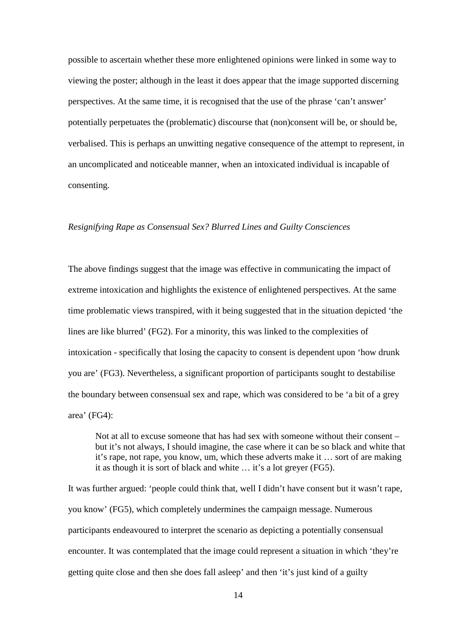possible to ascertain whether these more enlightened opinions were linked in some way to viewing the poster; although in the least it does appear that the image supported discerning perspectives. At the same time, it is recognised that the use of the phrase 'can't answer' potentially perpetuates the (problematic) discourse that (non)consent will be, or should be, verbalised. This is perhaps an unwitting negative consequence of the attempt to represent, in an uncomplicated and noticeable manner, when an intoxicated individual is incapable of consenting.

#### *Resignifying Rape as Consensual Sex? Blurred Lines and Guilty Consciences*

The above findings suggest that the image was effective in communicating the impact of extreme intoxication and highlights the existence of enlightened perspectives. At the same time problematic views transpired, with it being suggested that in the situation depicted 'the lines are like blurred' (FG2). For a minority, this was linked to the complexities of intoxication - specifically that losing the capacity to consent is dependent upon 'how drunk you are' (FG3). Nevertheless, a significant proportion of participants sought to destabilise the boundary between consensual sex and rape, which was considered to be 'a bit of a grey area' (FG4):

Not at all to excuse someone that has had sex with someone without their consent – but it's not always, I should imagine, the case where it can be so black and white that it's rape, not rape, you know, um, which these adverts make it … sort of are making it as though it is sort of black and white … it's a lot greyer (FG5).

It was further argued: 'people could think that, well I didn't have consent but it wasn't rape, you know' (FG5), which completely undermines the campaign message. Numerous participants endeavoured to interpret the scenario as depicting a potentially consensual encounter. It was contemplated that the image could represent a situation in which 'they're getting quite close and then she does fall asleep' and then 'it's just kind of a guilty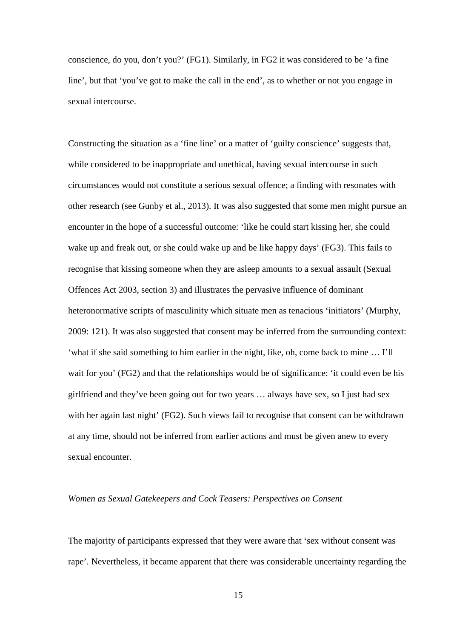conscience, do you, don't you?' (FG1). Similarly, in FG2 it was considered to be 'a fine line', but that 'you've got to make the call in the end', as to whether or not you engage in sexual intercourse.

Constructing the situation as a 'fine line' or a matter of 'guilty conscience' suggests that, while considered to be inappropriate and unethical, having sexual intercourse in such circumstances would not constitute a serious sexual offence; a finding with resonates with other research (see Gunby et al., 2013). It was also suggested that some men might pursue an encounter in the hope of a successful outcome: 'like he could start kissing her, she could wake up and freak out, or she could wake up and be like happy days' (FG3). This fails to recognise that kissing someone when they are asleep amounts to a sexual assault (Sexual Offences Act 2003, section 3) and illustrates the pervasive influence of dominant heteronormative scripts of masculinity which situate men as tenacious 'initiators' (Murphy, 2009: 121). It was also suggested that consent may be inferred from the surrounding context: 'what if she said something to him earlier in the night, like, oh, come back to mine … I'll wait for you' (FG2) and that the relationships would be of significance: 'it could even be his girlfriend and they've been going out for two years … always have sex, so I just had sex with her again last night' (FG2). Such views fail to recognise that consent can be withdrawn at any time, should not be inferred from earlier actions and must be given anew to every sexual encounter.

#### *Women as Sexual Gatekeepers and Cock Teasers: Perspectives on Consent*

The majority of participants expressed that they were aware that 'sex without consent was rape'. Nevertheless, it became apparent that there was considerable uncertainty regarding the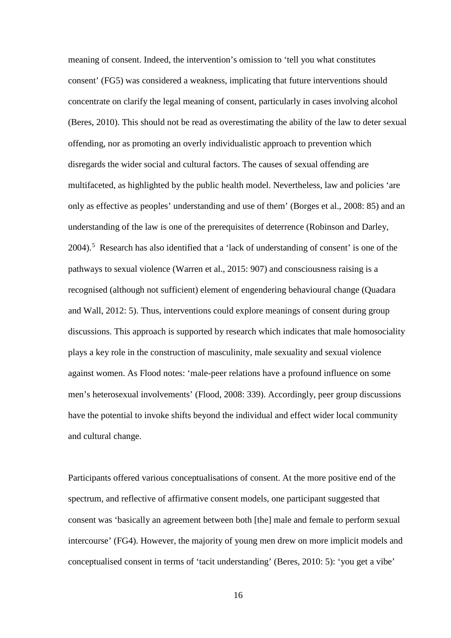meaning of consent. Indeed, the intervention's omission to 'tell you what constitutes consent' (FG5) was considered a weakness, implicating that future interventions should concentrate on clarify the legal meaning of consent, particularly in cases involving alcohol (Beres, 2010). This should not be read as overestimating the ability of the law to deter sexual offending, nor as promoting an overly individualistic approach to prevention which disregards the wider social and cultural factors. The causes of sexual offending are multifaceted, as highlighted by the public health model. Nevertheless, law and policies 'are only as effective as peoples' understanding and use of them' (Borges et al., 2008: 85) and an understanding of the law is one of the prerequisites of deterrence (Robinson and Darley, 2004).<sup>[5](#page-44-4)</sup> Research has also identified that a 'lack of understanding of consent' is one of the pathways to sexual violence (Warren et al., 2015: 907) and consciousness raising is a recognised (although not sufficient) element of engendering behavioural change (Quadara and Wall, 2012: 5). Thus, interventions could explore meanings of consent during group discussions. This approach is supported by research which indicates that male homosociality plays a key role in the construction of masculinity, male sexuality and sexual violence against women. As Flood notes: 'male-peer relations have a profound influence on some men's heterosexual involvements' (Flood, 2008: 339). Accordingly, peer group discussions have the potential to invoke shifts beyond the individual and effect wider local community and cultural change.

Participants offered various conceptualisations of consent. At the more positive end of the spectrum, and reflective of affirmative consent models, one participant suggested that consent was 'basically an agreement between both [the] male and female to perform sexual intercourse' (FG4). However, the majority of young men drew on more implicit models and conceptualised consent in terms of 'tacit understanding' (Beres, 2010: 5): 'you get a vibe'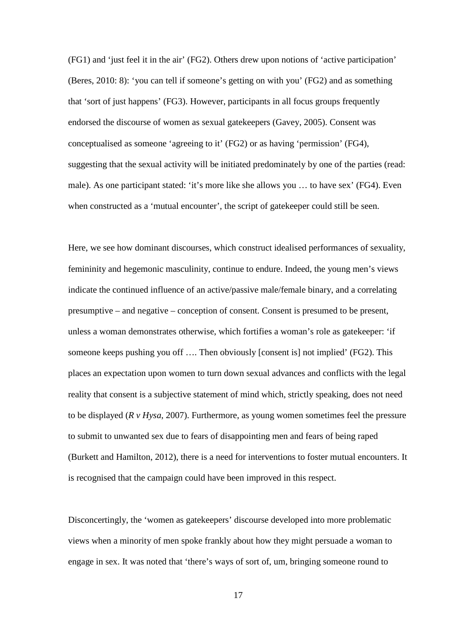(FG1) and 'just feel it in the air' (FG2). Others drew upon notions of 'active participation' (Beres, 2010: 8): 'you can tell if someone's getting on with you' (FG2) and as something that 'sort of just happens' (FG3). However, participants in all focus groups frequently endorsed the discourse of women as sexual gatekeepers (Gavey, 2005). Consent was conceptualised as someone 'agreeing to it' (FG2) or as having 'permission' (FG4), suggesting that the sexual activity will be initiated predominately by one of the parties (read: male). As one participant stated: 'it's more like she allows you … to have sex' (FG4). Even when constructed as a 'mutual encounter', the script of gatekeeper could still be seen.

Here, we see how dominant discourses, which construct idealised performances of sexuality, femininity and hegemonic masculinity, continue to endure. Indeed, the young men's views indicate the continued influence of an active/passive male/female binary, and a correlating presumptive – and negative – conception of consent. Consent is presumed to be present, unless a woman demonstrates otherwise, which fortifies a woman's role as gatekeeper: 'if someone keeps pushing you off …. Then obviously [consent is] not implied' (FG2). This places an expectation upon women to turn down sexual advances and conflicts with the legal reality that consent is a subjective statement of mind which, strictly speaking, does not need to be displayed (*R v Hysa*, 2007). Furthermore, as young women sometimes feel the pressure to submit to unwanted sex due to fears of disappointing men and fears of being raped (Burkett and Hamilton, 2012), there is a need for interventions to foster mutual encounters. It is recognised that the campaign could have been improved in this respect.

Disconcertingly, the 'women as gatekeepers' discourse developed into more problematic views when a minority of men spoke frankly about how they might persuade a woman to engage in sex. It was noted that 'there's ways of sort of, um, bringing someone round to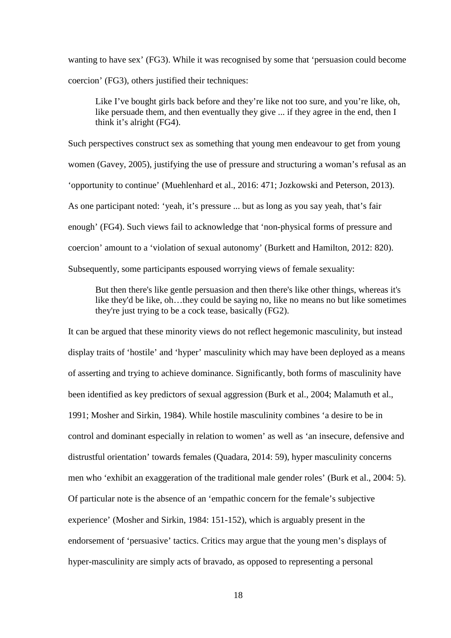wanting to have sex' (FG3). While it was recognised by some that 'persuasion could become coercion' (FG3), others justified their techniques:

Like I've bought girls back before and they're like not too sure, and you're like, oh, like persuade them, and then eventually they give ... if they agree in the end, then I think it's alright (FG4).

Such perspectives construct sex as something that young men endeavour to get from young women (Gavey, 2005), justifying the use of pressure and structuring a woman's refusal as an 'opportunity to continue' (Muehlenhard et al., 2016: 471; Jozkowski and Peterson, 2013). As one participant noted: 'yeah, it's pressure ... but as long as you say yeah, that's fair enough' (FG4). Such views fail to acknowledge that 'non-physical forms of pressure and coercion' amount to a 'violation of sexual autonomy' (Burkett and Hamilton, 2012: 820). Subsequently, some participants espoused worrying views of female sexuality:

But then there's like gentle persuasion and then there's like other things, whereas it's like they'd be like, oh…they could be saying no, like no means no but like sometimes they're just trying to be a cock tease, basically (FG2).

It can be argued that these minority views do not reflect hegemonic masculinity, but instead display traits of 'hostile' and 'hyper' masculinity which may have been deployed as a means of asserting and trying to achieve dominance. Significantly, both forms of masculinity have been identified as key predictors of sexual aggression (Burk et al., 2004; Malamuth et al., 1991; Mosher and Sirkin, 1984). While hostile masculinity combines 'a desire to be in control and dominant especially in relation to women' as well as 'an insecure, defensive and distrustful orientation' towards females (Quadara, 2014: 59), hyper masculinity concerns men who 'exhibit an exaggeration of the traditional male gender roles' (Burk et al., 2004: 5). Of particular note is the absence of an 'empathic concern for the female's subjective experience' (Mosher and Sirkin, 1984: 151-152), which is arguably present in the endorsement of 'persuasive' tactics. Critics may argue that the young men's displays of hyper-masculinity are simply acts of bravado, as opposed to representing a personal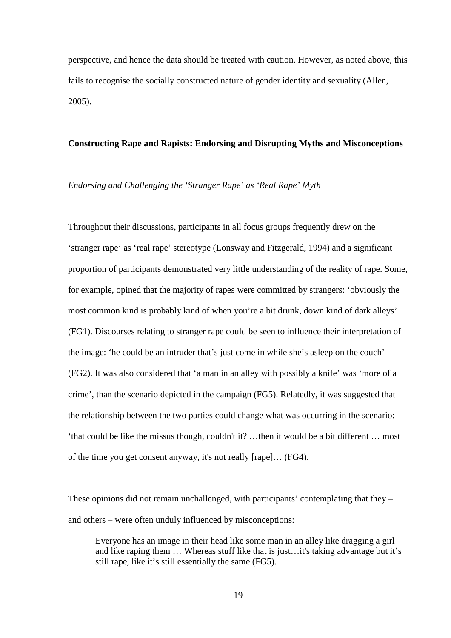perspective, and hence the data should be treated with caution. However, as noted above, this fails to recognise the socially constructed nature of gender identity and sexuality (Allen, 2005).

#### **Constructing Rape and Rapists: Endorsing and Disrupting Myths and Misconceptions**

#### *Endorsing and Challenging the 'Stranger Rape' as 'Real Rape' Myth*

Throughout their discussions, participants in all focus groups frequently drew on the 'stranger rape' as 'real rape' stereotype (Lonsway and Fitzgerald, 1994) and a significant proportion of participants demonstrated very little understanding of the reality of rape. Some, for example, opined that the majority of rapes were committed by strangers: 'obviously the most common kind is probably kind of when you're a bit drunk, down kind of dark alleys' (FG1). Discourses relating to stranger rape could be seen to influence their interpretation of the image: 'he could be an intruder that's just come in while she's asleep on the couch' (FG2). It was also considered that 'a man in an alley with possibly a knife' was 'more of a crime', than the scenario depicted in the campaign (FG5). Relatedly, it was suggested that the relationship between the two parties could change what was occurring in the scenario: 'that could be like the missus though, couldn't it? …then it would be a bit different … most of the time you get consent anyway, it's not really [rape]… (FG4).

These opinions did not remain unchallenged, with participants' contemplating that they – and others – were often unduly influenced by misconceptions:

Everyone has an image in their head like some man in an alley like dragging a girl and like raping them … Whereas stuff like that is just…it's taking advantage but it's still rape, like it's still essentially the same (FG5).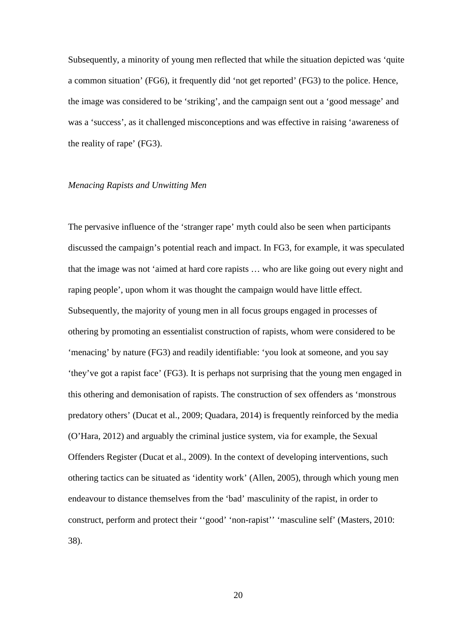Subsequently, a minority of young men reflected that while the situation depicted was 'quite a common situation' (FG6), it frequently did 'not get reported' (FG3) to the police. Hence, the image was considered to be 'striking', and the campaign sent out a 'good message' and was a 'success', as it challenged misconceptions and was effective in raising 'awareness of the reality of rape' (FG3).

#### *Menacing Rapists and Unwitting Men*

The pervasive influence of the 'stranger rape' myth could also be seen when participants discussed the campaign's potential reach and impact. In FG3, for example, it was speculated that the image was not 'aimed at hard core rapists … who are like going out every night and raping people', upon whom it was thought the campaign would have little effect. Subsequently, the majority of young men in all focus groups engaged in processes of othering by promoting an essentialist construction of rapists, whom were considered to be 'menacing' by nature (FG3) and readily identifiable: 'you look at someone, and you say 'they've got a rapist face' (FG3). It is perhaps not surprising that the young men engaged in this othering and demonisation of rapists. The construction of sex offenders as 'monstrous predatory others' (Ducat et al., 2009; Quadara, 2014) is frequently reinforced by the media (O'Hara, 2012) and arguably the criminal justice system, via for example, the Sexual Offenders Register (Ducat et al., 2009). In the context of developing interventions, such othering tactics can be situated as 'identity work' (Allen, 2005), through which young men endeavour to distance themselves from the 'bad' masculinity of the rapist, in order to construct, perform and protect their ''good' 'non-rapist'' 'masculine self' (Masters, 2010: 38).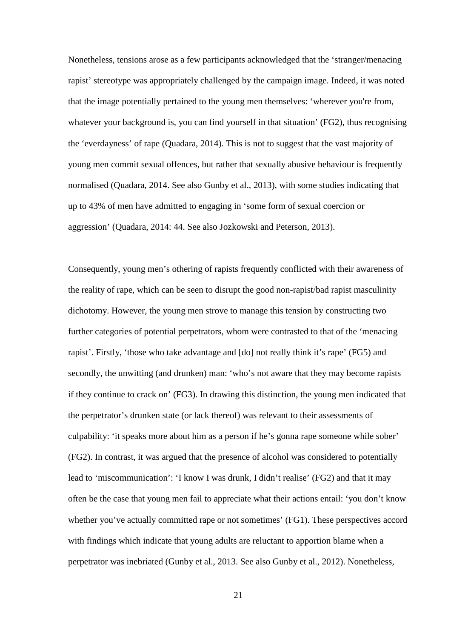Nonetheless, tensions arose as a few participants acknowledged that the 'stranger/menacing rapist' stereotype was appropriately challenged by the campaign image. Indeed, it was noted that the image potentially pertained to the young men themselves: 'wherever you're from, whatever your background is, you can find yourself in that situation' (FG2), thus recognising the 'everdayness' of rape (Quadara, 2014). This is not to suggest that the vast majority of young men commit sexual offences, but rather that sexually abusive behaviour is frequently normalised (Quadara, 2014. See also Gunby et al., 2013), with some studies indicating that up to 43% of men have admitted to engaging in 'some form of sexual coercion or aggression' (Quadara, 2014: 44. See also Jozkowski and Peterson, 2013).

Consequently, young men's othering of rapists frequently conflicted with their awareness of the reality of rape, which can be seen to disrupt the good non-rapist/bad rapist masculinity dichotomy. However, the young men strove to manage this tension by constructing two further categories of potential perpetrators, whom were contrasted to that of the 'menacing rapist'. Firstly, 'those who take advantage and [do] not really think it's rape' (FG5) and secondly, the unwitting (and drunken) man: 'who's not aware that they may become rapists if they continue to crack on' (FG3). In drawing this distinction, the young men indicated that the perpetrator's drunken state (or lack thereof) was relevant to their assessments of culpability: 'it speaks more about him as a person if he's gonna rape someone while sober' (FG2). In contrast, it was argued that the presence of alcohol was considered to potentially lead to 'miscommunication': 'I know I was drunk, I didn't realise' (FG2) and that it may often be the case that young men fail to appreciate what their actions entail: 'you don't know whether you've actually committed rape or not sometimes' (FG1). These perspectives accord with findings which indicate that young adults are reluctant to apportion blame when a perpetrator was inebriated (Gunby et al., 2013. See also Gunby et al., 2012). Nonetheless,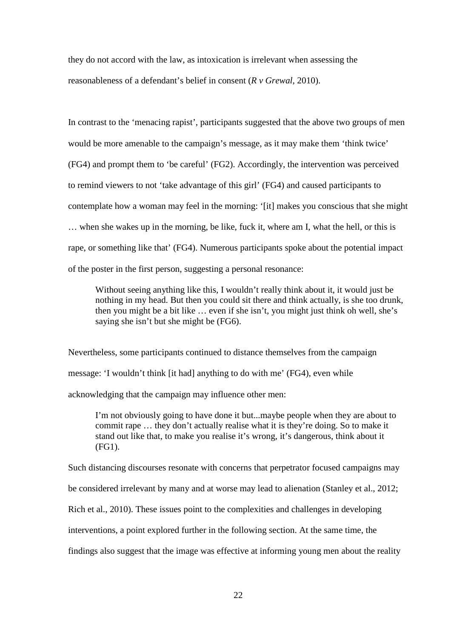they do not accord with the law, as intoxication is irrelevant when assessing the reasonableness of a defendant's belief in consent (*R v Grewal*, 2010).

In contrast to the 'menacing rapist', participants suggested that the above two groups of men would be more amenable to the campaign's message, as it may make them 'think twice' (FG4) and prompt them to 'be careful' (FG2). Accordingly, the intervention was perceived to remind viewers to not 'take advantage of this girl' (FG4) and caused participants to contemplate how a woman may feel in the morning: '[it] makes you conscious that she might … when she wakes up in the morning, be like, fuck it, where am I, what the hell, or this is rape, or something like that' (FG4). Numerous participants spoke about the potential impact of the poster in the first person, suggesting a personal resonance:

Without seeing anything like this, I wouldn't really think about it, it would just be nothing in my head. But then you could sit there and think actually, is she too drunk, then you might be a bit like … even if she isn't, you might just think oh well, she's saying she isn't but she might be (FG6).

Nevertheless, some participants continued to distance themselves from the campaign message: 'I wouldn't think [it had] anything to do with me' (FG4), even while acknowledging that the campaign may influence other men:

I'm not obviously going to have done it but...maybe people when they are about to commit rape … they don't actually realise what it is they're doing. So to make it stand out like that, to make you realise it's wrong, it's dangerous, think about it (FG1).

Such distancing discourses resonate with concerns that perpetrator focused campaigns may be considered irrelevant by many and at worse may lead to alienation (Stanley et al., 2012; Rich et al., 2010). These issues point to the complexities and challenges in developing interventions, a point explored further in the following section. At the same time, the findings also suggest that the image was effective at informing young men about the reality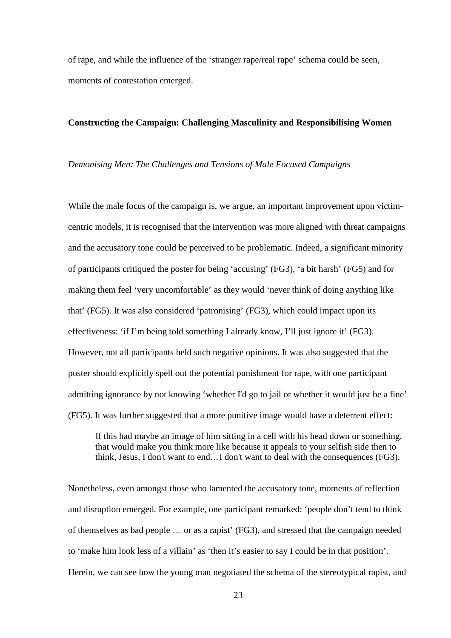of rape, and while the influence of the 'stranger rape/real rape' schema could be seen, moments of contestation emerged.

#### **Constructing the Campaign: Challenging Masculinity and Responsibilising Women**

#### *Demonising Men: The Challenges and Tensions of Male Focused Campaigns*

While the male focus of the campaign is, we argue, an important improvement upon victimcentric models, it is recognised that the intervention was more aligned with threat campaigns and the accusatory tone could be perceived to be problematic. Indeed, a significant minority of participants critiqued the poster for being 'accusing' (FG3), 'a bit harsh' (FG5) and for making them feel 'very uncomfortable' as they would 'never think of doing anything like that' (FG5). It was also considered 'patronising' (FG3), which could impact upon its effectiveness: 'if I'm being told something I already know, I'll just ignore it' (FG3). However, not all participants held such negative opinions. It was also suggested that the poster should explicitly spell out the potential punishment for rape, with one participant admitting ignorance by not knowing 'whether I'd go to jail or whether it would just be a fine' (FG5). It was further suggested that a more punitive image would have a deterrent effect:

If this had maybe an image of him sitting in a cell with his head down or something, that would make you think more like because it appeals to your selfish side then to think, Jesus, I don't want to end…I don't want to deal with the consequences (FG3).

Nonetheless, even amongst those who lamented the accusatory tone, moments of reflection and disruption emerged. For example, one participant remarked: 'people don't tend to think of themselves as bad people … or as a rapist' (FG3), and stressed that the campaign needed to 'make him look less of a villain' as 'then it's easier to say I could be in that position'. Herein, we can see how the young man negotiated the schema of the stereotypical rapist, and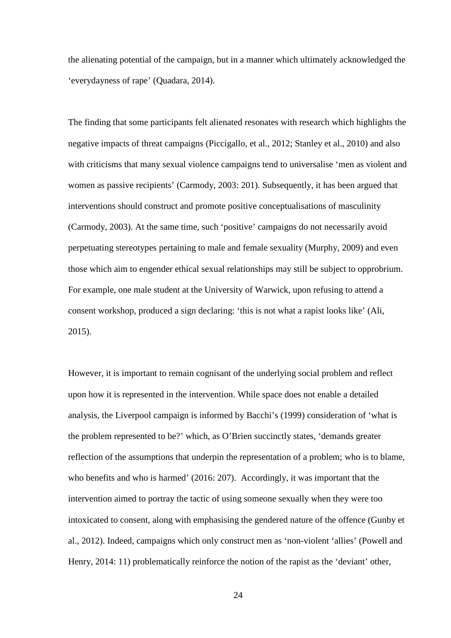the alienating potential of the campaign, but in a manner which ultimately acknowledged the 'everydayness of rape' (Quadara, 2014).

The finding that some participants felt alienated resonates with research which highlights the negative impacts of threat campaigns (Piccigallo, et al., 2012; Stanley et al., 2010) and also with criticisms that many sexual violence campaigns tend to universalise 'men as violent and women as passive recipients' (Carmody, 2003: 201). Subsequently, it has been argued that interventions should construct and promote positive conceptualisations of masculinity (Carmody, 2003). At the same time, such 'positive' campaigns do not necessarily avoid perpetuating stereotypes pertaining to male and female sexuality (Murphy, 2009) and even those which aim to engender ethical sexual relationships may still be subject to opprobrium. For example, one male student at the University of Warwick, upon refusing to attend a consent workshop, produced a sign declaring: 'this is not what a rapist looks like' (Ali, 2015).

However, it is important to remain cognisant of the underlying social problem and reflect upon how it is represented in the intervention. While space does not enable a detailed analysis, the Liverpool campaign is informed by Bacchi's (1999) consideration of 'what is the problem represented to be?' which, as O'Brien succinctly states, 'demands greater reflection of the assumptions that underpin the representation of a problem; who is to blame, who benefits and who is harmed' (2016: 207). Accordingly, it was important that the intervention aimed to portray the tactic of using someone sexually when they were too intoxicated to consent, along with emphasising the gendered nature of the offence (Gunby et al., 2012). Indeed, campaigns which only construct men as 'non-violent 'allies' (Powell and Henry, 2014: 11) problematically reinforce the notion of the rapist as the 'deviant' other,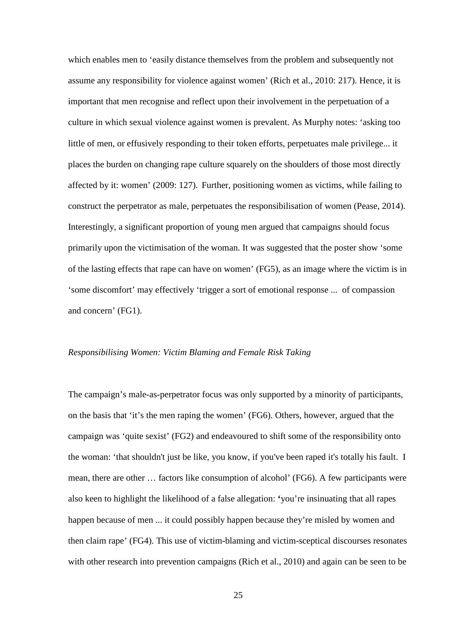which enables men to 'easily distance themselves from the problem and subsequently not assume any responsibility for violence against women' (Rich et al., 2010: 217). Hence, it is important that men recognise and reflect upon their involvement in the perpetuation of a culture in which sexual violence against women is prevalent. As Murphy notes: 'asking too little of men, or effusively responding to their token efforts, perpetuates male privilege... it places the burden on changing rape culture squarely on the shoulders of those most directly affected by it: women' (2009: 127). Further, positioning women as victims, while failing to construct the perpetrator as male, perpetuates the responsibilisation of women (Pease, 2014). Interestingly, a significant proportion of young men argued that campaigns should focus primarily upon the victimisation of the woman. It was suggested that the poster show 'some of the lasting effects that rape can have on women' (FG5), as an image where the victim is in 'some discomfort' may effectively 'trigger a sort of emotional response ... of compassion and concern' (FG1).

#### *Responsibilising Women: Victim Blaming and Female Risk Taking*

The campaign's male-as-perpetrator focus was only supported by a minority of participants, on the basis that 'it's the men raping the women' (FG6). Others, however, argued that the campaign was 'quite sexist' (FG2) and endeavoured to shift some of the responsibility onto the woman: 'that shouldn't just be like, you know, if you've been raped it's totally his fault. I mean, there are other … factors like consumption of alcohol' (FG6). A few participants were also keen to highlight the likelihood of a false allegation: **'**you're insinuating that all rapes happen because of men ... it could possibly happen because they're misled by women and then claim rape' (FG4). This use of victim-blaming and victim-sceptical discourses resonates with other research into prevention campaigns (Rich et al., 2010) and again can be seen to be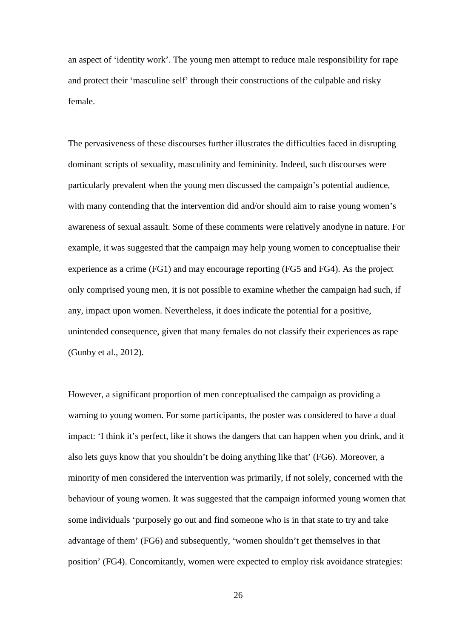an aspect of 'identity work'. The young men attempt to reduce male responsibility for rape and protect their 'masculine self' through their constructions of the culpable and risky female.

The pervasiveness of these discourses further illustrates the difficulties faced in disrupting dominant scripts of sexuality, masculinity and femininity. Indeed, such discourses were particularly prevalent when the young men discussed the campaign's potential audience, with many contending that the intervention did and/or should aim to raise young women's awareness of sexual assault. Some of these comments were relatively anodyne in nature. For example, it was suggested that the campaign may help young women to conceptualise their experience as a crime (FG1) and may encourage reporting (FG5 and FG4). As the project only comprised young men, it is not possible to examine whether the campaign had such, if any, impact upon women. Nevertheless, it does indicate the potential for a positive, unintended consequence, given that many females do not classify their experiences as rape (Gunby et al., 2012).

However, a significant proportion of men conceptualised the campaign as providing a warning to young women. For some participants, the poster was considered to have a dual impact: 'I think it's perfect, like it shows the dangers that can happen when you drink, and it also lets guys know that you shouldn't be doing anything like that' (FG6). Moreover, a minority of men considered the intervention was primarily, if not solely, concerned with the behaviour of young women. It was suggested that the campaign informed young women that some individuals 'purposely go out and find someone who is in that state to try and take advantage of them' (FG6) and subsequently, 'women shouldn't get themselves in that position' (FG4). Concomitantly, women were expected to employ risk avoidance strategies: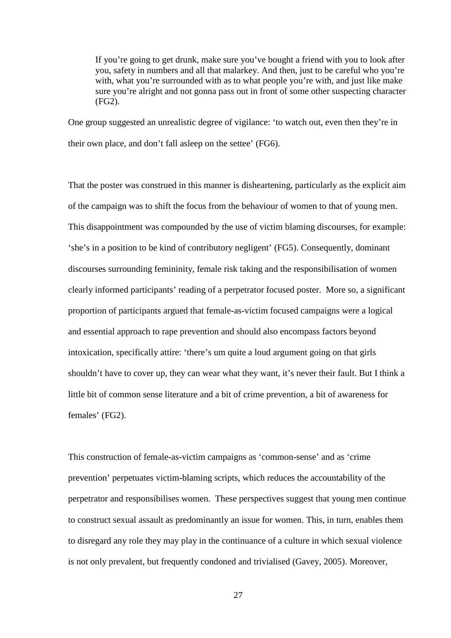If you're going to get drunk, make sure you've bought a friend with you to look after you, safety in numbers and all that malarkey. And then, just to be careful who you're with, what you're surrounded with as to what people you're with, and just like make sure you're alright and not gonna pass out in front of some other suspecting character (FG2).

One group suggested an unrealistic degree of vigilance: 'to watch out, even then they're in their own place, and don't fall asleep on the settee' (FG6).

That the poster was construed in this manner is disheartening, particularly as the explicit aim of the campaign was to shift the focus from the behaviour of women to that of young men. This disappointment was compounded by the use of victim blaming discourses, for example: 'she's in a position to be kind of contributory negligent' (FG5). Consequently, dominant discourses surrounding femininity, female risk taking and the responsibilisation of women clearly informed participants' reading of a perpetrator focused poster. More so, a significant proportion of participants argued that female-as-victim focused campaigns were a logical and essential approach to rape prevention and should also encompass factors beyond intoxication, specifically attire: 'there's um quite a loud argument going on that girls shouldn't have to cover up, they can wear what they want, it's never their fault. But I think a little bit of common sense literature and a bit of crime prevention, a bit of awareness for females' (FG2).

This construction of female-as-victim campaigns as 'common-sense' and as 'crime prevention' perpetuates victim-blaming scripts, which reduces the accountability of the perpetrator and responsibilises women. These perspectives suggest that young men continue to construct sexual assault as predominantly an issue for women. This, in turn, enables them to disregard any role they may play in the continuance of a culture in which sexual violence is not only prevalent, but frequently condoned and trivialised (Gavey, 2005). Moreover,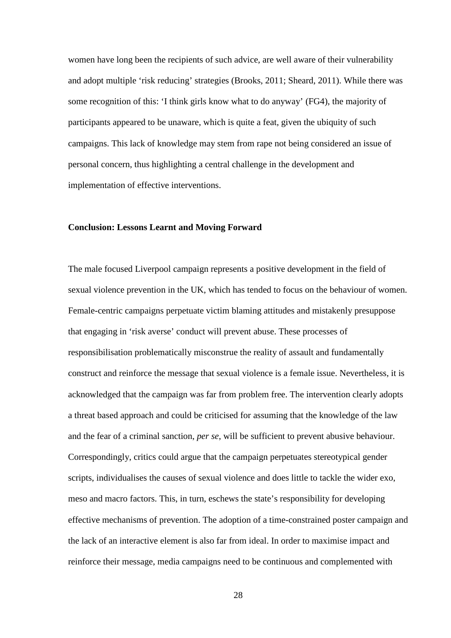women have long been the recipients of such advice, are well aware of their vulnerability and adopt multiple 'risk reducing' strategies (Brooks, 2011; Sheard, 2011). While there was some recognition of this: 'I think girls know what to do anyway' (FG4), the majority of participants appeared to be unaware, which is quite a feat, given the ubiquity of such campaigns. This lack of knowledge may stem from rape not being considered an issue of personal concern, thus highlighting a central challenge in the development and implementation of effective interventions.

#### **Conclusion: Lessons Learnt and Moving Forward**

The male focused Liverpool campaign represents a positive development in the field of sexual violence prevention in the UK, which has tended to focus on the behaviour of women. Female-centric campaigns perpetuate victim blaming attitudes and mistakenly presuppose that engaging in 'risk averse' conduct will prevent abuse. These processes of responsibilisation problematically misconstrue the reality of assault and fundamentally construct and reinforce the message that sexual violence is a female issue. Nevertheless, it is acknowledged that the campaign was far from problem free. The intervention clearly adopts a threat based approach and could be criticised for assuming that the knowledge of the law and the fear of a criminal sanction, *per se*, will be sufficient to prevent abusive behaviour. Correspondingly, critics could argue that the campaign perpetuates stereotypical gender scripts, individualises the causes of sexual violence and does little to tackle the wider exo, meso and macro factors. This, in turn, eschews the state's responsibility for developing effective mechanisms of prevention. The adoption of a time-constrained poster campaign and the lack of an interactive element is also far from ideal. In order to maximise impact and reinforce their message, media campaigns need to be continuous and complemented with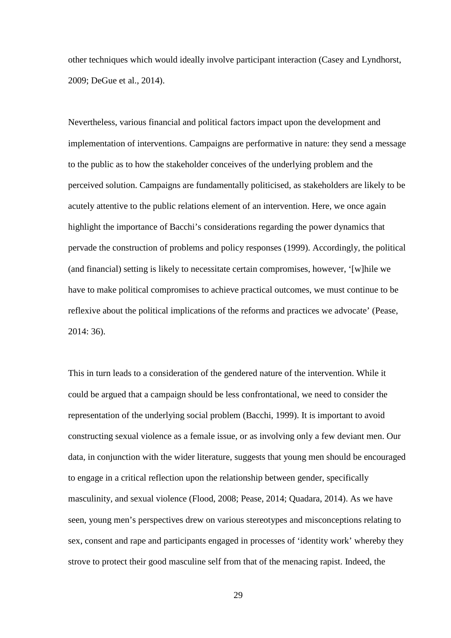other techniques which would ideally involve participant interaction (Casey and Lyndhorst, 2009; DeGue et al., 2014).

Nevertheless, various financial and political factors impact upon the development and implementation of interventions. Campaigns are performative in nature: they send a message to the public as to how the stakeholder conceives of the underlying problem and the perceived solution. Campaigns are fundamentally politicised, as stakeholders are likely to be acutely attentive to the public relations element of an intervention. Here, we once again highlight the importance of Bacchi's considerations regarding the power dynamics that pervade the construction of problems and policy responses (1999). Accordingly, the political (and financial) setting is likely to necessitate certain compromises, however, '[w]hile we have to make political compromises to achieve practical outcomes, we must continue to be reflexive about the political implications of the reforms and practices we advocate' (Pease, 2014: 36).

This in turn leads to a consideration of the gendered nature of the intervention. While it could be argued that a campaign should be less confrontational, we need to consider the representation of the underlying social problem (Bacchi, 1999). It is important to avoid constructing sexual violence as a female issue, or as involving only a few deviant men. Our data, in conjunction with the wider literature, suggests that young men should be encouraged to engage in a critical reflection upon the relationship between gender, specifically masculinity, and sexual violence (Flood, 2008; Pease, 2014; Quadara, 2014). As we have seen, young men's perspectives drew on various stereotypes and misconceptions relating to sex, consent and rape and participants engaged in processes of 'identity work' whereby they strove to protect their good masculine self from that of the menacing rapist. Indeed, the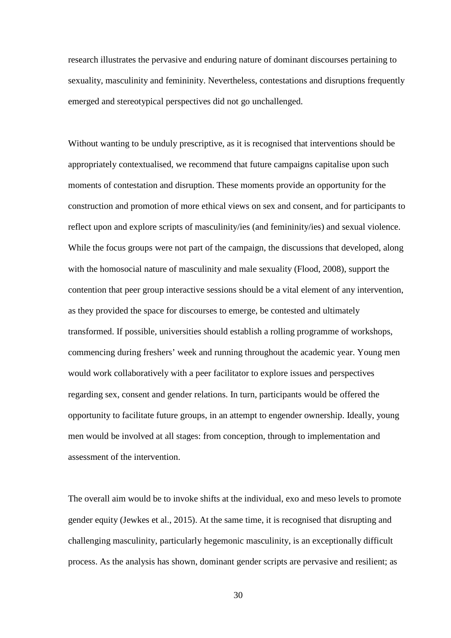research illustrates the pervasive and enduring nature of dominant discourses pertaining to sexuality, masculinity and femininity. Nevertheless, contestations and disruptions frequently emerged and stereotypical perspectives did not go unchallenged.

Without wanting to be unduly prescriptive, as it is recognised that interventions should be appropriately contextualised, we recommend that future campaigns capitalise upon such moments of contestation and disruption. These moments provide an opportunity for the construction and promotion of more ethical views on sex and consent, and for participants to reflect upon and explore scripts of masculinity/ies (and femininity/ies) and sexual violence. While the focus groups were not part of the campaign, the discussions that developed, along with the homosocial nature of masculinity and male sexuality (Flood, 2008), support the contention that peer group interactive sessions should be a vital element of any intervention, as they provided the space for discourses to emerge, be contested and ultimately transformed. If possible, universities should establish a rolling programme of workshops, commencing during freshers' week and running throughout the academic year. Young men would work collaboratively with a peer facilitator to explore issues and perspectives regarding sex, consent and gender relations. In turn, participants would be offered the opportunity to facilitate future groups, in an attempt to engender ownership. Ideally, young men would be involved at all stages: from conception, through to implementation and assessment of the intervention.

The overall aim would be to invoke shifts at the individual, exo and meso levels to promote gender equity (Jewkes et al., 2015). At the same time, it is recognised that disrupting and challenging masculinity, particularly hegemonic masculinity, is an exceptionally difficult process. As the analysis has shown, dominant gender scripts are pervasive and resilient; as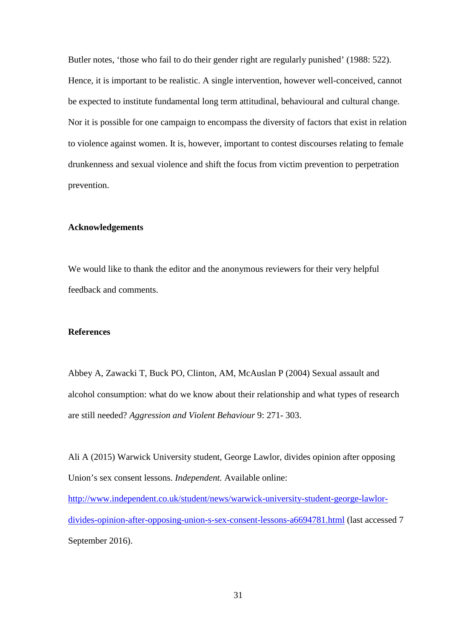Butler notes, 'those who fail to do their gender right are regularly punished' (1988: 522). Hence, it is important to be realistic. A single intervention, however well-conceived, cannot be expected to institute fundamental long term attitudinal, behavioural and cultural change. Nor it is possible for one campaign to encompass the diversity of factors that exist in relation to violence against women. It is, however, important to contest discourses relating to female drunkenness and sexual violence and shift the focus from victim prevention to perpetration prevention.

#### **Acknowledgements**

We would like to thank the editor and the anonymous reviewers for their very helpful feedback and comments.

#### **References**

Abbey A, Zawacki T, Buck PO, Clinton, AM, McAuslan P (2004) Sexual assault and alcohol consumption: what do we know about their relationship and what types of research are still needed? *Aggression and Violent Behaviour* 9: 271- 303.

Ali A (2015) Warwick University student, George Lawlor, divides opinion after opposing Union's sex consent lessons. *Independent.* Available online: [http://www.independent.co.uk/student/news/warwick-university-student-george-lawlor](http://www.independent.co.uk/student/news/warwick-university-student-george-lawlor-divides-opinion-after-opposing-union-s-sex-consent-lessons-a6694781.html)[divides-opinion-after-opposing-union-s-sex-consent-lessons-a6694781.html](http://www.independent.co.uk/student/news/warwick-university-student-george-lawlor-divides-opinion-after-opposing-union-s-sex-consent-lessons-a6694781.html) (last accessed 7 September 2016).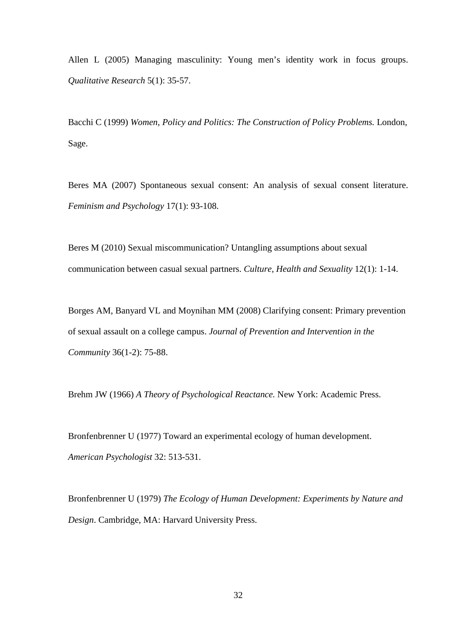Allen L (2005) Managing masculinity: Young men's identity work in focus groups. *Qualitative Research* 5(1): 35-57.

Bacchi C (1999) *Women, Policy and Politics: The Construction of Policy Problems.* London, Sage.

Beres MA (2007) Spontaneous sexual consent: An analysis of sexual consent literature. *Feminism and Psychology* 17(1): 93-108.

Beres M (2010) Sexual miscommunication? Untangling assumptions about sexual communication between casual sexual partners. *Culture, Health and Sexuality* 12(1): 1-14.

Borges AM, Banyard VL and Moynihan MM (2008) Clarifying consent: Primary prevention of sexual assault on a college campus. *Journal of Prevention and Intervention in the Community* 36(1-2): 75-88.

Brehm JW (1966) *A Theory of Psychological Reactance.* New York: Academic Press.

Bronfenbrenner U (1977) Toward an experimental ecology of human development. *American Psychologist* 32: 513-531.

Bronfenbrenner U (1979) *The Ecology of Human Development: Experiments by Nature and Design*. Cambridge, MA: Harvard University Press.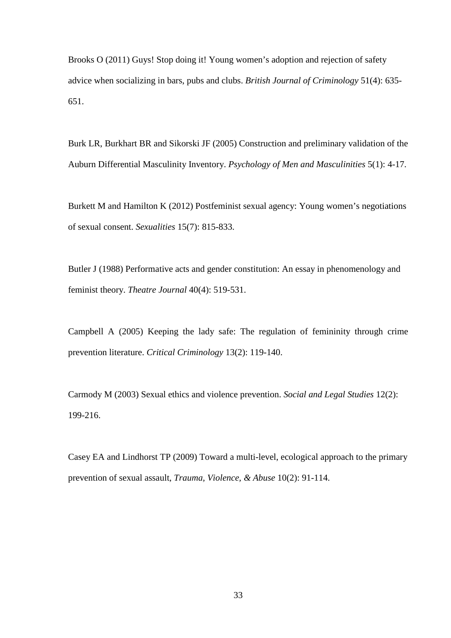Brooks O (2011) Guys! Stop doing it! Young women's adoption and rejection of safety advice when socializing in bars, pubs and clubs. *British Journal of Criminology* 51(4): 635- 651.

Burk LR, Burkhart BR and Sikorski JF (2005) Construction and preliminary validation of the Auburn Differential Masculinity Inventory. *Psychology of Men and Masculinities* 5(1): 4-17.

Burkett M and Hamilton K (2012) Postfeminist sexual agency: Young women's negotiations of sexual consent. *Sexualities* 15(7): 815-833.

Butler J (1988) Performative acts and gender constitution: An essay in phenomenology and feminist theory. *Theatre Journal* 40(4): 519-531.

Campbell A (2005) Keeping the lady safe: The regulation of femininity through crime prevention literature. *Critical Criminology* 13(2): 119-140.

Carmody M (2003) Sexual ethics and violence prevention. *Social and Legal Studies* 12(2): 199-216.

Casey EA and Lindhorst TP (2009) Toward a multi-level, ecological approach to the primary prevention of sexual assault, *Trauma, Violence, & Abuse* 10(2): 91-114.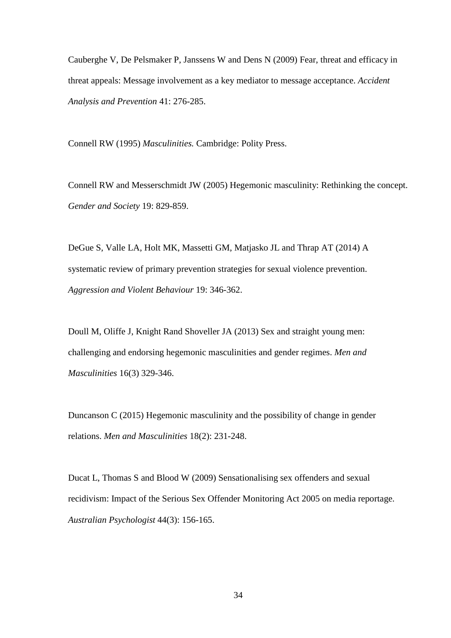Cauberghe V, De Pelsmaker P, Janssens W and Dens N (2009) Fear, threat and efficacy in threat appeals: Message involvement as a key mediator to message acceptance. *Accident Analysis and Prevention* 41: 276-285.

Connell RW (1995) *Masculinities.* Cambridge: Polity Press.

Connell RW and Messerschmidt JW (2005) Hegemonic masculinity: Rethinking the concept. *Gender and Society* 19: 829-859.

DeGue S, Valle LA, Holt MK, Massetti GM, Matjasko JL and Thrap AT (2014) A systematic review of primary prevention strategies for sexual violence prevention. *Aggression and Violent Behaviour* 19: 346-362.

Doull M, Oliffe J, Knight Rand Shoveller JA (2013) Sex and straight young men: challenging and endorsing hegemonic masculinities and gender regimes. *Men and Masculinities* 16(3) 329-346.

Duncanson C (2015) Hegemonic masculinity and the possibility of change in gender relations. *Men and Masculinities* 18(2): 231-248.

Ducat L, Thomas S and Blood W (2009) Sensationalising sex offenders and sexual recidivism: Impact of the Serious Sex Offender Monitoring Act 2005 on media reportage. *Australian Psychologist* 44(3): 156-165.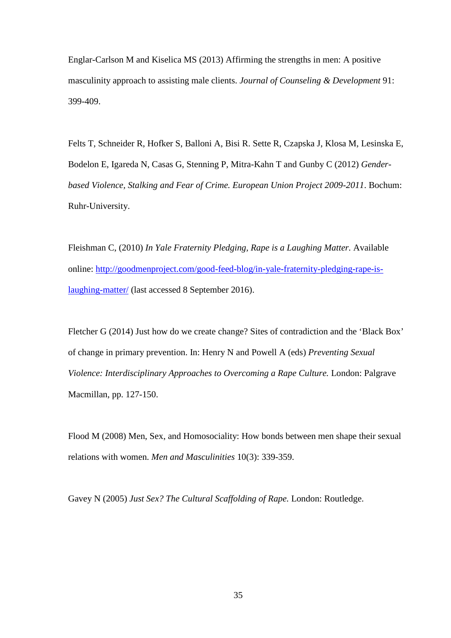Englar-Carlson M and Kiselica MS (2013) Affirming the strengths in men: A positive masculinity approach to assisting male clients. *Journal of Counseling & Development* 91: 399-409.

Felts T, Schneider R, Hofker S, Balloni A, Bisi R. Sette R, Czapska J, Klosa M, Lesinska E, Bodelon E, Igareda N, Casas G, Stenning P, Mitra-Kahn T and Gunby C (2012) *Genderbased Violence, Stalking and Fear of Crime. European Union Project 2009-2011*. Bochum: Ruhr-University.

Fleishman C, (2010) *In Yale Fraternity Pledging, Rape is a Laughing Matter.* Available online: [http://goodmenproject.com/good-feed-blog/in-yale-fraternity-pledging-rape-is](http://goodmenproject.com/good-feed-blog/in-yale-fraternity-pledging-rape-is-laughing-matter/)[laughing-matter/](http://goodmenproject.com/good-feed-blog/in-yale-fraternity-pledging-rape-is-laughing-matter/) (last accessed 8 September 2016).

Fletcher G (2014) Just how do we create change? Sites of contradiction and the 'Black Box' of change in primary prevention. In: Henry N and Powell A (eds) *Preventing Sexual Violence: Interdisciplinary Approaches to Overcoming a Rape Culture.* London: Palgrave Macmillan, pp. 127-150.

Flood M (2008) Men, Sex, and Homosociality: How bonds between men shape their sexual relations with women. *Men and Masculinities* 10(3): 339-359.

Gavey N (2005) *Just Sex? The Cultural Scaffolding of Rape.* London: Routledge.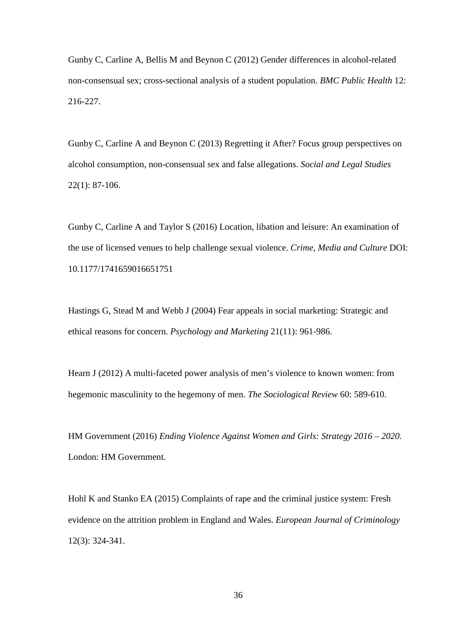Gunby C, Carline A, Bellis M and Beynon C (2012) Gender differences in alcohol-related non-consensual sex; cross-sectional analysis of a student population. *BMC Public Health* 12: 216-227.

Gunby C, Carline A and Beynon C (2013) Regretting it After? Focus group perspectives on alcohol consumption, non-consensual sex and false allegations. *Social and Legal Studies*  22(1): 87-106.

Gunby C, Carline A and Taylor S (2016) Location, libation and leisure: An examination of the use of licensed venues to help challenge sexual violence. *Crime, Media and Culture* DOI: 10.1177/1741659016651751

Hastings G, Stead M and Webb J (2004) Fear appeals in social marketing: Strategic and ethical reasons for concern. *Psychology and Marketing* 21(11): 961-986.

Hearn J (2012) A multi-faceted power analysis of men's violence to known women: from hegemonic masculinity to the hegemony of men. *The Sociological Review* 60: 589-610.

HM Government (2016) *Ending Violence Against Women and Girls: Strategy 2016 – 2020*. London: HM Government.

Hohl K and Stanko EA (2015) Complaints of rape and the criminal justice system: Fresh evidence on the attrition problem in England and Wales. *European Journal of Criminology*  12(3): 324-341.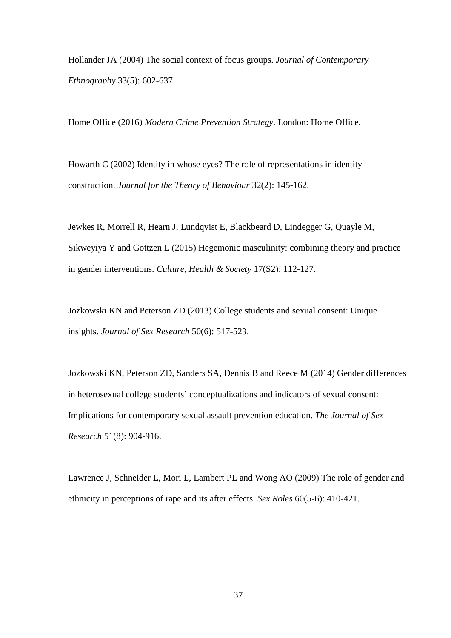Hollander JA (2004) The social context of focus groups. *Journal of Contemporary Ethnography* 33(5): 602-637.

Home Office (2016) *Modern Crime Prevention Strategy*. London: Home Office.

Howarth C (2002) Identity in whose eyes? The role of representations in identity construction. *Journal for the Theory of Behaviour* 32(2): 145-162.

Jewkes R, Morrell R, Hearn J, Lundqvist E, Blackbeard D, Lindegger G, Quayle M, Sikweyiya Y and Gottzen L (2015) Hegemonic masculinity: combining theory and practice in gender interventions. *Culture, Health & Society* 17(S2): 112-127.

Jozkowski KN and Peterson ZD (2013) College students and sexual consent: Unique insights. *Journal of Sex Research* 50(6): 517-523.

Jozkowski KN, Peterson ZD, Sanders SA, Dennis B and Reece M (2014) Gender differences in heterosexual college students' conceptualizations and indicators of sexual consent: Implications for contemporary sexual assault prevention education. *The Journal of Sex Research* 51(8): 904-916.

Lawrence J, Schneider L, Mori L, Lambert PL and Wong AO (2009) The role of gender and ethnicity in perceptions of rape and its after effects. *Sex Roles* 60(5-6): 410-421.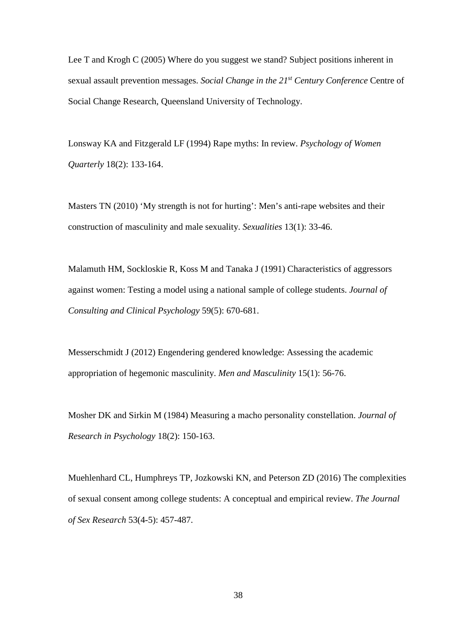Lee T and Krogh C (2005) Where do you suggest we stand? Subject positions inherent in sexual assault prevention messages. *Social Change in the 21st Century Conference* Centre of Social Change Research, Queensland University of Technology.

Lonsway KA and Fitzgerald LF (1994) Rape myths: In review. *Psychology of Women Quarterly* 18(2): 133-164.

Masters TN (2010) 'My strength is not for hurting': Men's anti-rape websites and their construction of masculinity and male sexuality. *Sexualities* 13(1): 33-46.

Malamuth HM, Sockloskie R, Koss M and Tanaka J (1991) Characteristics of aggressors against women: Testing a model using a national sample of college students. *Journal of Consulting and Clinical Psychology* 59(5): 670-681.

Messerschmidt J (2012) Engendering gendered knowledge: Assessing the academic appropriation of hegemonic masculinity. *Men and Masculinity* 15(1): 56-76.

Mosher DK and Sirkin M (1984) Measuring a macho personality constellation. *Journal of Research in Psychology* 18(2): 150-163.

Muehlenhard CL, Humphreys TP, Jozkowski KN, and Peterson ZD (2016) The complexities of sexual consent among college students: A conceptual and empirical review. *The Journal of Sex Research* 53(4-5): 457-487.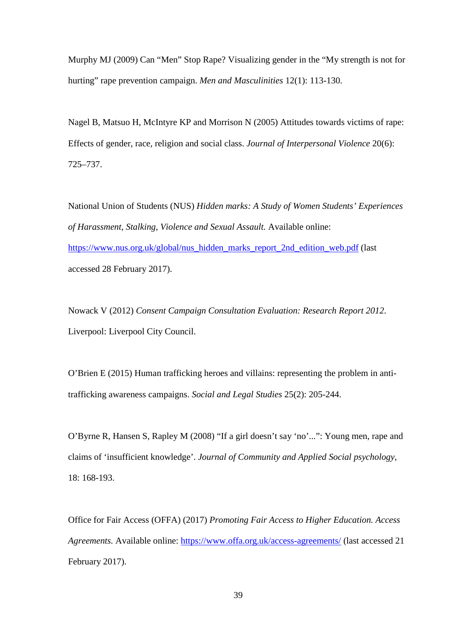Murphy MJ (2009) Can "Men" Stop Rape? Visualizing gender in the "My strength is not for hurting" rape prevention campaign. *Men and Masculinities* 12(1): 113-130.

Nagel B, Matsuo H, McIntyre KP and Morrison N (2005) Attitudes towards victims of rape: Effects of gender, race, religion and social class. *Journal of Interpersonal Violence* 20(6): 725–737.

National Union of Students (NUS) *Hidden marks: A Study of Women Students' Experiences of Harassment, Stalking, Violence and Sexual Assault.* Available online: [https://www.nus.org.uk/global/nus\\_hidden\\_marks\\_report\\_2nd\\_edition\\_web.pdf](https://www.nus.org.uk/global/nus_hidden_marks_report_2nd_edition_web.pdf) (last accessed 28 February 2017).

Nowack V (2012) *Consent Campaign Consultation Evaluation: Research Report 2012*. Liverpool: Liverpool City Council.

O'Brien E (2015) Human trafficking heroes and villains: representing the problem in antitrafficking awareness campaigns. *Social and Legal Studies* 25(2): 205-244.

O'Byrne R, Hansen S, Rapley M (2008) "If a girl doesn't say 'no'...": Young men, rape and claims of 'insufficient knowledge'. *Journal of Community and Applied Social psychology,*  18: 168-193.

Office for Fair Access (OFFA) (2017) *Promoting Fair Access to Higher Education. Access Agreements.* Available online: <https://www.offa.org.uk/access-agreements/> (last accessed 21 February 2017).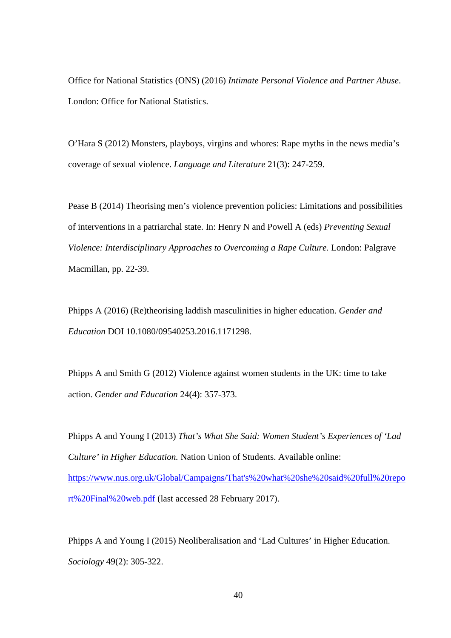Office for National Statistics (ONS) (2016) *Intimate Personal Violence and Partner Abuse*. London: Office for National Statistics.

O'Hara S (2012) Monsters, playboys, virgins and whores: Rape myths in the news media's coverage of sexual violence. *Language and Literature* 21(3): 247-259.

Pease B (2014) Theorising men's violence prevention policies: Limitations and possibilities of interventions in a patriarchal state. In: Henry N and Powell A (eds) *Preventing Sexual Violence: Interdisciplinary Approaches to Overcoming a Rape Culture.* London: Palgrave Macmillan, pp. 22-39.

Phipps A (2016) (Re)theorising laddish masculinities in higher education. *Gender and Education* DOI 10.1080/09540253.2016.1171298.

Phipps A and Smith G (2012) Violence against women students in the UK: time to take action. *Gender and Education* 24(4): 357-373.

Phipps A and Young I (2013) *That's What She Said: Women Student's Experiences of 'Lad Culture' in Higher Education.* Nation Union of Students. Available online: [https://www.nus.org.uk/Global/Campaigns/That's%20what%20she%20said%20full%20repo](https://www.nus.org.uk/Global/Campaigns/That) [rt%20Final%20web.pdf](https://www.nus.org.uk/Global/Campaigns/That) (last accessed 28 February 2017).

Phipps A and Young I (2015) Neoliberalisation and 'Lad Cultures' in Higher Education. *Sociology* 49(2): 305-322.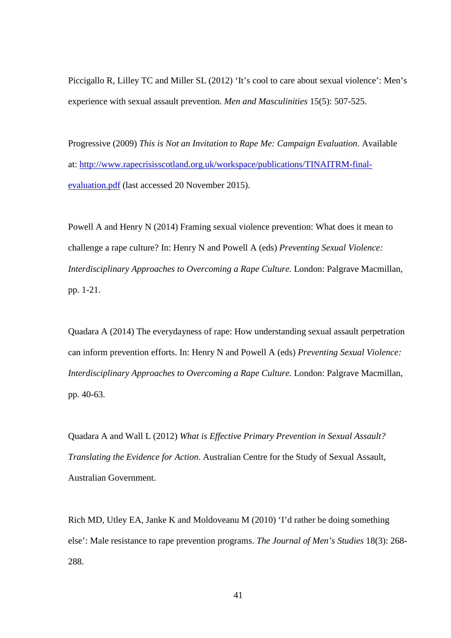Piccigallo R, Lilley TC and Miller SL (2012) 'It's cool to care about sexual violence': Men's experience with sexual assault prevention. *Men and Masculinities* 15(5): 507-525.

Progressive (2009) *This is Not an Invitation to Rape Me: Campaign Evaluation*. Available at: [http://www.rapecrisisscotland.org.uk/workspace/publications/TINAITRM-final](http://www.rapecrisisscotland.org.uk/workspace/publications/TINAITRM-final-evaluation.pdf)[evaluation.pdf](http://www.rapecrisisscotland.org.uk/workspace/publications/TINAITRM-final-evaluation.pdf) (last accessed 20 November 2015).

Powell A and Henry N (2014) Framing sexual violence prevention: What does it mean to challenge a rape culture? In: Henry N and Powell A (eds) *Preventing Sexual Violence: Interdisciplinary Approaches to Overcoming a Rape Culture.* London: Palgrave Macmillan, pp. 1-21.

Quadara A (2014) The everydayness of rape: How understanding sexual assault perpetration can inform prevention efforts. In: Henry N and Powell A (eds) *Preventing Sexual Violence: Interdisciplinary Approaches to Overcoming a Rape Culture.* London: Palgrave Macmillan, pp. 40-63.

Quadara A and Wall L (2012) *What is Effective Primary Prevention in Sexual Assault? Translating the Evidence for Action*. Australian Centre for the Study of Sexual Assault, Australian Government.

Rich MD, Utley EA, Janke K and Moldoveanu M (2010) 'I'd rather be doing something else': Male resistance to rape prevention programs. *The Journal of Men's Studies* 18(3): 268- 288.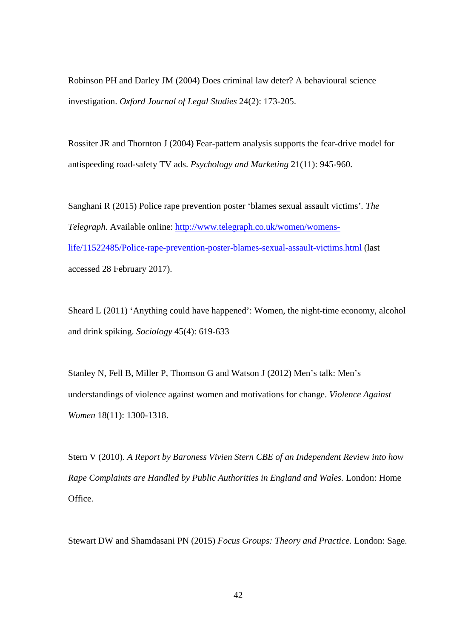Robinson PH and Darley JM (2004) Does criminal law deter? A behavioural science investigation. *Oxford Journal of Legal Studies* 24(2): 173-205.

Rossiter JR and Thornton J (2004) Fear-pattern analysis supports the fear-drive model for antispeeding road-safety TV ads. *Psychology and Marketing* 21(11): 945-960.

Sanghani R (2015) Police rape prevention poster 'blames sexual assault victims'*. The Telegraph*. Available online: [http://www.telegraph.co.uk/women/womens](http://www.telegraph.co.uk/women/womens-life/11522485/Police-rape-prevention-poster-blames-sexual-assault-victims.html)[life/11522485/Police-rape-prevention-poster-blames-sexual-assault-victims.html](http://www.telegraph.co.uk/women/womens-life/11522485/Police-rape-prevention-poster-blames-sexual-assault-victims.html) (last accessed 28 February 2017).

Sheard L (2011) 'Anything could have happened': Women, the night-time economy, alcohol and drink spiking. *Sociology* 45(4): 619-633

Stanley N, Fell B, Miller P, Thomson G and Watson J (2012) Men's talk: Men's understandings of violence against women and motivations for change. *Violence Against Women* 18(11): 1300-1318.

Stern V (2010). *A Report by Baroness Vivien Stern CBE of an Independent Review into how Rape Complaints are Handled by Public Authorities in England and Wales.* London: Home Office.

Stewart DW and Shamdasani PN (2015) *Focus Groups: Theory and Practice.* London: Sage.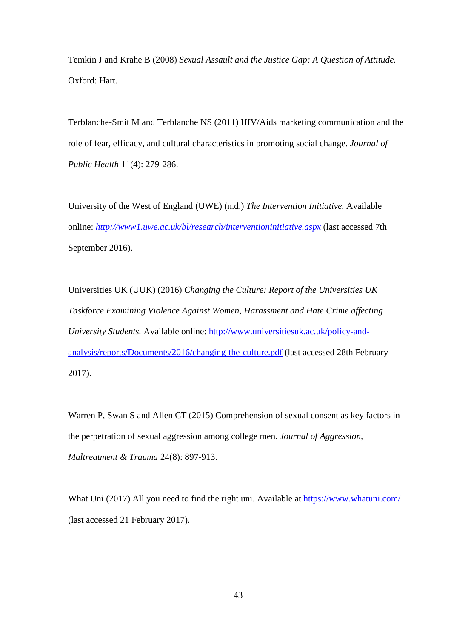Temkin J and Krahe B (2008) *Sexual Assault and the Justice Gap: A Question of Attitude.*  Oxford: Hart.

Terblanche-Smit M and Terblanche NS (2011) HIV/Aids marketing communication and the role of fear, efficacy, and cultural characteristics in promoting social change. *Journal of Public Health* 11(4): 279-286.

University of the West of England (UWE) (n.d.) *The Intervention Initiative.* Available online: *<http://www1.uwe.ac.uk/bl/research/interventioninitiative.aspx>* (last accessed 7th September 2016).

Universities UK (UUK) (2016) *Changing the Culture: Report of the Universities UK Taskforce Examining Violence Against Women, Harassment and Hate Crime affecting University Students.* Available online: [http://www.universitiesuk.ac.uk/policy-and](http://www.universitiesuk.ac.uk/policy-and-analysis/reports/Documents/2016/changing-the-culture.pdf)[analysis/reports/Documents/2016/changing-the-culture.pdf](http://www.universitiesuk.ac.uk/policy-and-analysis/reports/Documents/2016/changing-the-culture.pdf) (last accessed 28th February 2017).

Warren P, Swan S and Allen CT (2015) Comprehension of sexual consent as key factors in the perpetration of sexual aggression among college men. *Journal of Aggression, Maltreatment & Trauma* 24(8): 897-913.

What Uni (2017) All you need to find the right uni. Available at<https://www.whatuni.com/> (last accessed 21 February 2017).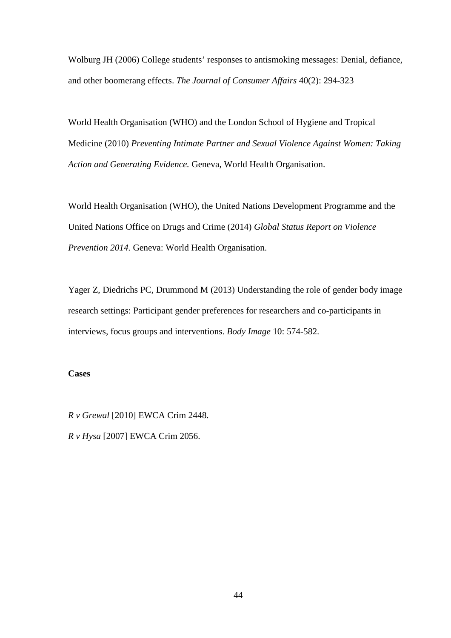Wolburg JH (2006) College students' responses to antismoking messages: Denial, defiance, and other boomerang effects. *The Journal of Consumer Affairs* 40(2): 294-323

World Health Organisation (WHO) and the London School of Hygiene and Tropical Medicine (2010) *Preventing Intimate Partner and Sexual Violence Against Women: Taking Action and Generating Evidence.* Geneva, World Health Organisation.

World Health Organisation (WHO), the United Nations Development Programme and the United Nations Office on Drugs and Crime (2014) *Global Status Report on Violence Prevention 2014.* Geneva: World Health Organisation.

Yager Z, Diedrichs PC, Drummond M (2013) Understanding the role of gender body image research settings: Participant gender preferences for researchers and co-participants in interviews, focus groups and interventions. *Body Image* 10: 574-582.

#### **Cases**

*R v Grewal* [2010] EWCA Crim 2448.

*R v Hysa* [2007] EWCA Crim 2056.